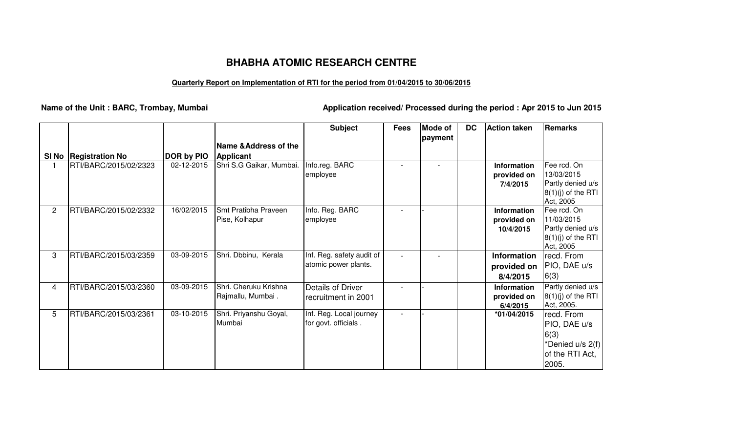## **BHABHA ATOMIC RESEARCH CENTRE**

## **Quarterly Report on Implementation of RTI for the period from 01/04/2015 to 30/06/2015**

**Name of the Unit : BARC, Trombay, Mumbai Application received/ Processed during the period : Apr 2015 to Jun 2015**

|              |                         |                   |                                        | <b>Subject</b>            | <b>Fees</b> | <b>Mode of</b> | <b>DC</b> | <b>Action taken</b> | Remarks                   |
|--------------|-------------------------|-------------------|----------------------------------------|---------------------------|-------------|----------------|-----------|---------------------|---------------------------|
|              |                         |                   |                                        |                           |             | payment        |           |                     |                           |
|              |                         |                   | Name & Address of the                  |                           |             |                |           |                     |                           |
|              | SI No   Registration No | <b>DOR by PIO</b> | Applicant                              |                           |             |                |           |                     |                           |
|              | RTI/BARC/2015/02/2323   | 02-12-2015        | Shri S.G Gaikar, Mumbai.               | Info.reg. BARC            |             |                |           | Information         | Fee rcd. On               |
|              |                         |                   |                                        | employee                  |             |                |           | provided on         | 13/03/2015                |
|              |                         |                   |                                        |                           |             |                |           | 7/4/2015            | Partly denied u/s         |
|              |                         |                   |                                        |                           |             |                |           |                     | $8(1)(j)$ of the RTI      |
|              |                         |                   |                                        |                           |             |                |           |                     | Act, 2005                 |
| $\mathbf{2}$ | RTI/BARC/2015/02/2332   | 16/02/2015        | Smt Pratibha Praveen<br>Pise, Kolhapur | Info. Reg. BARC           |             |                |           | <b>Information</b>  | Fee rcd. On<br>11/03/2015 |
|              |                         |                   |                                        | employee                  |             |                |           | provided on         | Partly denied u/s         |
|              |                         |                   |                                        |                           |             |                |           | 10/4/2015           | $8(1)(j)$ of the RTI      |
|              |                         |                   |                                        |                           |             |                |           |                     | Act, 2005                 |
| 3            | RTI/BARC/2015/03/2359   | 03-09-2015        | Shri. Dbbinu, Kerala                   | Inf. Reg. safety audit of |             |                |           | Information         | recd. From                |
|              |                         |                   |                                        | atomic power plants.      |             |                |           | provided on         | PIO, DAE u/s              |
|              |                         |                   |                                        |                           |             |                |           | 8/4/2015            | 6(3)                      |
| 4            | RTI/BARC/2015/03/2360   | 03-09-2015        | Shri. Cheruku Krishna                  | Details of Driver         |             |                |           | <b>Information</b>  | Partly denied u/s         |
|              |                         |                   | Rajmallu, Mumbai.                      | recruitment in 2001       |             |                |           | provided on         | $8(1)(j)$ of the RTI      |
|              |                         |                   |                                        |                           |             |                |           | 6/4/2015            | Act, 2005.                |
| 5            | RTI/BARC/2015/03/2361   | 03-10-2015        | Shri. Priyanshu Goyal,                 | Inf. Reg. Local journey   |             |                |           | *01/04/2015         | recd. From                |
|              |                         |                   | Mumbai                                 | for govt. officials.      |             |                |           |                     | PIO, DAE u/s              |
|              |                         |                   |                                        |                           |             |                |           |                     | 6(3)                      |
|              |                         |                   |                                        |                           |             |                |           |                     | *Denied u/s 2(f)          |
|              |                         |                   |                                        |                           |             |                |           |                     | of the RTI Act,           |
|              |                         |                   |                                        |                           |             |                |           |                     | 2005.                     |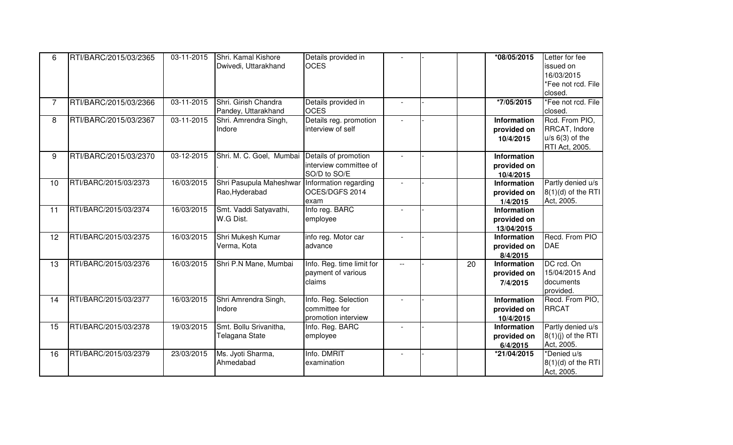| 6              | RTI/BARC/2015/03/2365 | 03-11-2015       | Shri. Kamal Kishore                             | Details provided in       |                |    | *08/05/2015        | Letter for fee       |
|----------------|-----------------------|------------------|-------------------------------------------------|---------------------------|----------------|----|--------------------|----------------------|
|                |                       |                  | Dwivedi, Uttarakhand                            | <b>OCES</b>               |                |    |                    | issued on            |
|                |                       |                  |                                                 |                           |                |    |                    | 16/03/2015           |
|                |                       |                  |                                                 |                           |                |    |                    | *Fee not rcd. File   |
|                |                       |                  |                                                 |                           |                |    |                    | closed.              |
| $\overline{7}$ | RTI/BARC/2015/03/2366 | 03-11-2015       | Shri. Girish Chandra                            | Details provided in       | $\overline{a}$ |    | *7/05/2015         | *Fee not rcd. File   |
|                |                       |                  | Pandey, Uttarakhand                             | <b>OCES</b>               |                |    |                    | closed.              |
| 8              | RTI/BARC/2015/03/2367 | $03 - 11 - 2015$ | Shri. Amrendra Singh,                           | Details reg. promotion    |                |    | Information        | Rcd. From PIO,       |
|                |                       |                  | Indore                                          | interview of self         |                |    | provided on        | RRCAT, Indore        |
|                |                       |                  |                                                 |                           |                |    | 10/4/2015          | $u/s$ 6(3) of the    |
|                |                       |                  |                                                 |                           |                |    |                    | RTI Act, 2005.       |
| 9              | RTI/BARC/2015/03/2370 | 03-12-2015       | Shri. M. C. Goel, Mumbai Details of promotion   |                           |                |    | <b>Information</b> |                      |
|                |                       |                  |                                                 | interview committee of    |                |    | provided on        |                      |
|                |                       |                  |                                                 | SO/D to SO/E              |                |    | 10/4/2015          |                      |
| 10             | RTI/BARC/2015/03/2373 | 16/03/2015       | Shri Pasupula Maheshwar   Information regarding |                           |                |    | Information        | Partly denied u/s    |
|                |                       |                  | Rao, Hyderabad                                  | OCES/DGFS 2014            |                |    | provided on        | $8(1)(d)$ of the RTI |
|                |                       |                  |                                                 | exam                      |                |    | 1/4/2015           | Act, 2005.           |
| 11             | RTI/BARC/2015/03/2374 | 16/03/2015       | Smt. Vaddi Satyavathi,                          | Info reg. BARC            |                |    | <b>Information</b> |                      |
|                |                       |                  | W.G Dist.                                       | employee                  |                |    | provided on        |                      |
|                |                       |                  |                                                 |                           |                |    | 13/04/2015         |                      |
| 12             | RTI/BARC/2015/03/2375 | 16/03/2015       | Shri Mukesh Kumar                               | info reg. Motor car       |                |    | Information        | Recd. From PIO       |
|                |                       |                  | Verma, Kota                                     | advance                   |                |    | provided on        | <b>DAE</b>           |
|                |                       |                  |                                                 |                           |                |    | 8/4/2015           |                      |
| 13             | RTI/BARC/2015/03/2376 | 16/03/2015       | Shri P.N Mane, Mumbai                           | Info. Reg. time limit for | $-$            | 20 | <b>Information</b> | DC rcd. On           |
|                |                       |                  |                                                 | payment of various        |                |    | provided on        | 15/04/2015 And       |
|                |                       |                  |                                                 | claims                    |                |    | 7/4/2015           | documents            |
|                |                       |                  |                                                 |                           |                |    |                    | provided.            |
| 14             | RTI/BARC/2015/03/2377 | 16/03/2015       | Shri Amrendra Singh,                            | Info. Reg. Selection      |                |    | Information        | Recd. From PIO,      |
|                |                       |                  | Indore                                          | committee for             |                |    | provided on        | <b>RRCAT</b>         |
|                |                       |                  |                                                 | promotion interview       |                |    | 10/4/2015          |                      |
| 15             | RTI/BARC/2015/03/2378 | 19/03/2015       | Smt. Bollu Srivanitha,                          | Info. Reg. BARC           |                |    | <b>Information</b> | Partly denied u/s    |
|                |                       |                  | Telagana State                                  | employee                  |                |    | provided on        | $8(1)(j)$ of the RTI |
|                |                       |                  |                                                 |                           |                |    | 6/4/2015           | Act, 2005.           |
| 16             | RTI/BARC/2015/03/2379 | 23/03/2015       | Ms. Jyoti Sharma,                               | Info. DMRIT               |                |    | *21/04/2015        | *Denied u/s          |
|                |                       |                  | Ahmedabad                                       | examination               |                |    |                    | $8(1)(d)$ of the RTI |
|                |                       |                  |                                                 |                           |                |    |                    | Act, 2005.           |
|                |                       |                  |                                                 |                           |                |    |                    |                      |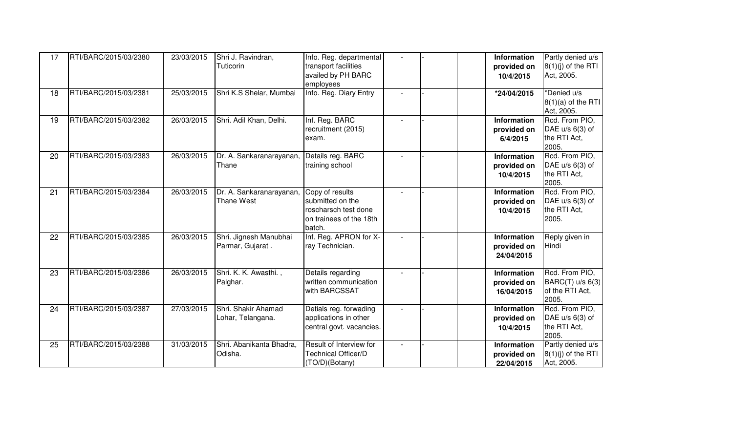| 17 | RTI/BARC/2015/03/2380 | 23/03/2015 | Shri J. Ravindran,<br>Tuticorin            | Info. Reg. departmental<br>transport facilities<br>availed by PH BARC<br>employees               |                | <b>Information</b><br>provided on<br>10/4/2015  | Partly denied u/s<br>$8(1)(j)$ of the RTI<br>Act, 2005.        |
|----|-----------------------|------------|--------------------------------------------|--------------------------------------------------------------------------------------------------|----------------|-------------------------------------------------|----------------------------------------------------------------|
| 18 | RTI/BARC/2015/03/2381 | 25/03/2015 | Shri K.S Shelar, Mumbai                    | Info. Reg. Diary Entry                                                                           |                | *24/04/2015                                     | *Denied u/s<br>$8(1)(a)$ of the RTI<br>Act, 2005.              |
| 19 | RTI/BARC/2015/03/2382 | 26/03/2015 | Shri. Adil Khan, Delhi.                    | Inf. Reg. BARC<br>recruitment (2015)<br>exam.                                                    |                | Information<br>provided on<br>6/4/2015          | Rcd. From PIO,<br>DAE $u/s$ 6(3) of<br>the RTI Act,<br>2005.   |
| 20 | RTI/BARC/2015/03/2383 | 26/03/2015 | Dr. A. Sankaranarayanan,<br>Thane          | Details reg. BARC<br>training school                                                             |                | <b>Information</b><br>provided on<br>10/4/2015  | Rcd. From PIO,<br>DAE $u/s$ 6(3) of<br>the RTI Act,<br>2005.   |
| 21 | RTI/BARC/2015/03/2384 | 26/03/2015 | Dr. A. Sankaranarayanan,<br>Thane West     | Copy of results<br>submitted on the<br>roscharsch test done<br>on trainees of the 18th<br>batch. |                | <b>Information</b><br>provided on<br>10/4/2015  | Rcd. From PIO,<br>DAE $u/s$ 6(3) of<br>the RTI Act,<br>2005.   |
| 22 | RTI/BARC/2015/03/2385 | 26/03/2015 | Shri. Jignesh Manubhai<br>Parmar, Gujarat. | Inf. Reg. APRON for X-<br>ray Technician.                                                        |                | <b>Information</b><br>provided on<br>24/04/2015 | Reply given in<br>Hindi                                        |
| 23 | RTI/BARC/2015/03/2386 | 26/03/2015 | Shri. K. K. Awasthi.,<br>Palghar.          | Details regarding<br>written communication<br>with BARCSSAT                                      |                | <b>Information</b><br>provided on<br>16/04/2015 | Rcd. From PIO.<br>BARC(T) u/s 6(3)<br>of the RTI Act,<br>2005. |
| 24 | RTI/BARC/2015/03/2387 | 27/03/2015 | Shri. Shakir Ahamad<br>Lohar, Telangana.   | Detials reg. forwading<br>applications in other<br>central govt. vacancies.                      |                | <b>Information</b><br>provided on<br>10/4/2015  | Rcd. From PIO,<br>DAE $u/s$ 6(3) of<br>the RTI Act,<br>2005.   |
| 25 | RTI/BARC/2015/03/2388 | 31/03/2015 | Shri. Abanikanta Bhadra,<br>Odisha.        | Result of Interview for<br>Technical Officer/D<br>(TO/D)(Botany)                                 | $\blacksquare$ | <b>Information</b><br>provided on<br>22/04/2015 | Partly denied u/s<br>$8(1)(j)$ of the RTI<br>Act, 2005.        |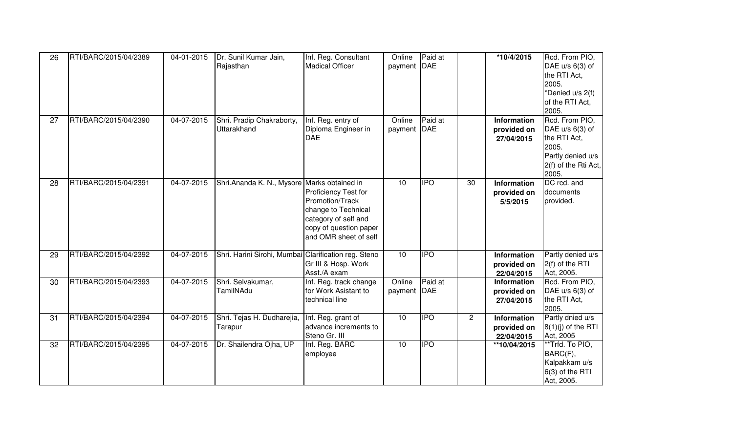| 26 | RTI/BARC/2015/04/2389 | 04-01-2015 | Dr. Sunil Kumar Jain,<br>Rajasthan                   | Inf. Reg. Consultant<br><b>Madical Officer</b>                                                                                            | Online<br>payment DAE | Paid at                                      |                | *10/4/2015                                      | Rcd. From PIO,<br>DAE u/s 6(3) of<br>the RTI Act,<br>2005.<br>*Denied u/s 2(f)<br>of the RTI Act,<br>2005.       |
|----|-----------------------|------------|------------------------------------------------------|-------------------------------------------------------------------------------------------------------------------------------------------|-----------------------|----------------------------------------------|----------------|-------------------------------------------------|------------------------------------------------------------------------------------------------------------------|
| 27 | RTI/BARC/2015/04/2390 | 04-07-2015 | Shri. Pradip Chakraborty,<br>Uttarakhand             | Inf. Reg. entry of<br>Diploma Engineer in<br><b>DAE</b>                                                                                   | Online<br>payment     | Paid at<br>DAE                               |                | Information<br>provided on<br>27/04/2015        | Rcd. From PIO,<br>DAE u/s 6(3) of<br>the RTI Act,<br>2005.<br>Partly denied u/s<br>2(f) of the Rti Act,<br>2005. |
| 28 | RTI/BARC/2015/04/2391 | 04-07-2015 | Shri.Ananda K. N., Mysore Marks obtained in          | Proficiency Test for<br>Promotion/Track<br>change to Technical<br>category of self and<br>copy of question paper<br>and OMR sheet of self | 10                    | <b>IPO</b>                                   | 30             | <b>Information</b><br>provided on<br>5/5/2015   | DC rcd. and<br>documents<br>provided.                                                                            |
| 29 | RTI/BARC/2015/04/2392 | 04-07-2015 | Shri. Harini Sirohi, Mumbai Clarification reg. Steno | Gr III & Hosp. Work<br>Asst./A exam                                                                                                       | 10                    | $\overline{\overline{\mathsf{P}}\mathsf{O}}$ |                | <b>Information</b><br>provided on<br>22/04/2015 | Partly denied u/s<br>2(f) of the RTI<br>Act, 2005.                                                               |
| 30 | RTI/BARC/2015/04/2393 | 04-07-2015 | Shri. Selvakumar,<br>TamilNAdu                       | Inf. Reg. track change<br>for Work Asistant to<br>technical line                                                                          | Online<br>payment DAE | Paid at                                      |                | Information<br>provided on<br>27/04/2015        | Rcd. From PIO,<br>DAE u/s 6(3) of<br>the RTI Act,<br>2005.                                                       |
| 31 | RTI/BARC/2015/04/2394 | 04-07-2015 | Shri. Tejas H. Dudharejia,<br>Tarapur                | Inf. Reg. grant of<br>advance increments to<br>Steno Gr. III                                                                              | 10                    | <b>IPO</b>                                   | $\overline{2}$ | Information<br>provided on<br>22/04/2015        | Partly dnied u/s<br>$8(1)(j)$ of the RTI<br>Act, 2005                                                            |
| 32 | RTI/BARC/2015/04/2395 | 04-07-2015 | Dr. Shailendra Ojha, UP                              | Inf. Reg. BARC<br>employee                                                                                                                | 10                    | <b>IPO</b>                                   |                | **10/04/2015                                    | **Trfd. To PIO,<br>BARC(F),<br>Kalpakkam u/s<br>6(3) of the RTI<br>Act, 2005.                                    |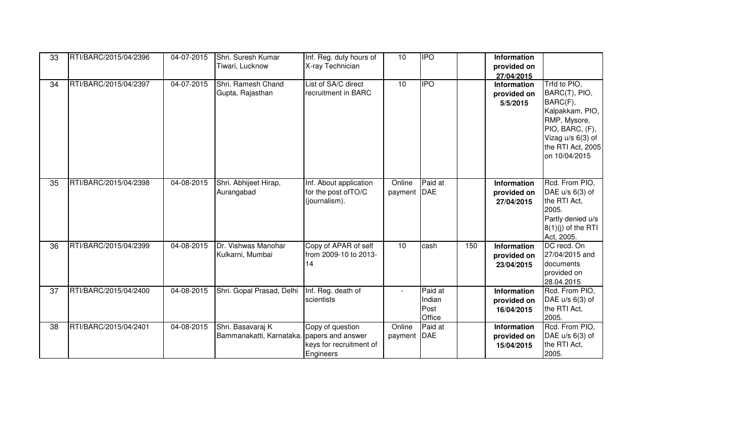| 33 | RTI/BARC/2015/04/2396 | 04-07-2015       | Shri. Suresh Kumar<br>Tiwari, Lucknow                           | Inf. Reg. duty hours of<br>X-ray Technician                     | 10                       | <b>IPO</b>                          |     | <b>Information</b><br>provided on<br>27/04/2015 |                                                                                                                                                              |
|----|-----------------------|------------------|-----------------------------------------------------------------|-----------------------------------------------------------------|--------------------------|-------------------------------------|-----|-------------------------------------------------|--------------------------------------------------------------------------------------------------------------------------------------------------------------|
| 34 | RTI/BARC/2015/04/2397 | $04 - 07 - 2015$ | Shri. Ramesh Chand<br>Gupta, Rajasthan                          | List of SA/C direct<br>recruitment in BARC                      | 10                       | <b>IPO</b>                          |     | Information<br>provided on<br>5/5/2015          | Trfd to PIO,<br>BARC(T), PIO,<br>BARC(F),<br>Kalpakkam, PIO,<br>RMP, Mysore,<br>PIO, BARC, (F),<br>Vizag $u/s$ 6(3) of<br>the RTI Act, 2005<br>on 10/04/2015 |
| 35 | RTI/BARC/2015/04/2398 | 04-08-2015       | Shri. Abhijeet Hirap,<br>Aurangabad                             | Inf. About application<br>for the post of TO/C<br>(journalism). | Online<br>payment        | Paid at<br><b>DAE</b>               |     | Information<br>provided on<br>27/04/2015        | Rcd. From PIO,<br>DAE $u/s$ 6(3) of<br>the RTI Act,<br>2005.<br>Partly denied u/s<br>$8(1)(j)$ of the RTI<br>Act, 2005.                                      |
| 36 | RTI/BARC/2015/04/2399 | 04-08-2015       | Dr. Vishwas Manohar<br>Kulkarni, Mumbai                         | Copy of APAR of self<br>from 2009-10 to 2013-<br>14             | 10                       | cash                                | 150 | Information<br>provided on<br>23/04/2015        | DC recd. On<br>27/04/2015 and<br>documents<br>provided on<br>28.04.2015                                                                                      |
| 37 | RTI/BARC/2015/04/2400 | 04-08-2015       | Shri. Gopal Prasad, Delhi                                       | Inf. Reg. death of<br>scientists                                | $\overline{\phantom{a}}$ | Paid at<br>Indian<br>Post<br>Office |     | <b>Information</b><br>provided on<br>16/04/2015 | Rcd. From PIO,<br>DAE u/s 6(3) of<br>the RTI Act,<br>2005.                                                                                                   |
| 38 | RTI/BARC/2015/04/2401 | 04-08-2015       | Shri. Basavaraj K<br>Bammanakatti, Karnataka. papers and answer | Copy of question<br>keys for recruitment of<br>Engineers        | Online<br>payment        | Paid at<br>DAE                      |     | Information<br>provided on<br>15/04/2015        | Rcd. From PIO,<br>DAE u/s 6(3) of<br>the RTI Act,<br>2005.                                                                                                   |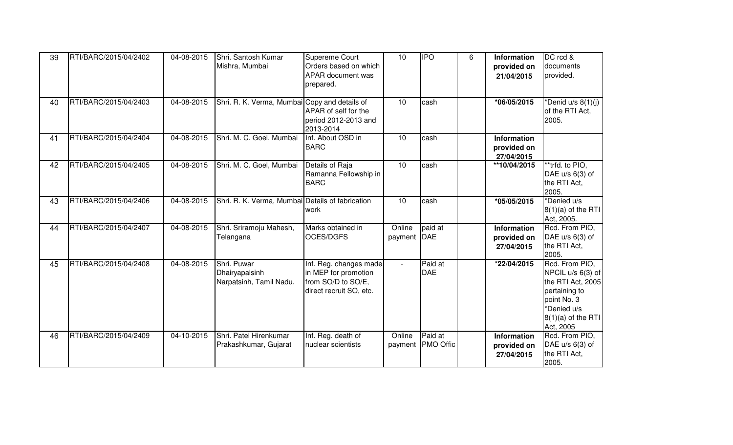| 39 | RTI/BARC/2015/04/2402 | 04-08-2015 | Shri. Santosh Kumar<br>Mishra, Mumbai                    | Supereme Court<br>Orders based on which<br><b>APAR</b> document was<br>prepared.                | 10                          |                             | 6 | <b>Information</b><br>provided on<br>21/04/2015 | DC rcd &<br>documents<br>provided.                                                                                                           |
|----|-----------------------|------------|----------------------------------------------------------|-------------------------------------------------------------------------------------------------|-----------------------------|-----------------------------|---|-------------------------------------------------|----------------------------------------------------------------------------------------------------------------------------------------------|
| 40 | RTI/BARC/2015/04/2403 | 04-08-2015 | Shri. R. K. Verma, Mumbai Copy and details of            | APAR of self for the<br>period 2012-2013 and<br>2013-2014                                       | 10                          | cash                        |   | $*06/05/2015$                                   | *Denid u/s $8(1)(j)$<br>of the RTI Act,<br>2005.                                                                                             |
| 41 | RTI/BARC/2015/04/2404 | 04-08-2015 | Shri. M. C. Goel, Mumbai                                 | Inf. About OSD in<br><b>BARC</b>                                                                | 10                          | cash                        |   | <b>Information</b><br>provided on<br>27/04/2015 |                                                                                                                                              |
| 42 | RTI/BARC/2015/04/2405 | 04-08-2015 | Shri. M. C. Goel, Mumbai                                 | Details of Raja<br>Ramanna Fellowship in<br><b>BARC</b>                                         | 10                          | cash                        |   | **10/04/2015                                    | *trfd. to PIO,<br>DAE $u/s$ 6(3) of<br>the RTI Act,<br>2005.                                                                                 |
| 43 | RTI/BARC/2015/04/2406 | 04-08-2015 | Shri. R. K. Verma, Mumbai Details of fabrication         | work                                                                                            | 10                          | cash                        |   | *05/05/2015                                     | *Denied u/s<br>$8(1)(a)$ of the RTI<br>Act, 2005.                                                                                            |
| 44 | RTI/BARC/2015/04/2407 | 04-08-2015 | Shri. Sriramoju Mahesh,<br>Telangana                     | Marks obtained in<br>OCES/DGFS                                                                  | Online<br>payment           | paid at<br>DAE              |   | <b>Information</b><br>provided on<br>27/04/2015 | Rcd. From PIO,<br>DAE $u/s$ 6(3) of<br>the RTI Act,<br>2005.                                                                                 |
| 45 | RTI/BARC/2015/04/2408 | 04-08-2015 | Shri. Puwar<br>Dhairyapalsinh<br>Narpatsinh, Tamil Nadu. | Inf. Reg. changes made<br>in MEP for promotion<br>from SO/D to SO/E,<br>direct recruit SO, etc. | $\mathcal{L}_{\mathcal{A}}$ | Paid at<br><b>DAE</b>       |   | *22/04/2015                                     | Rcd. From PIO,<br>NPCIL u/s 6(3) of<br>the RTI Act, 2005<br>pertaining to<br>point No. 3<br>*Denied u/s<br>$8(1)(a)$ of the RTI<br>Act, 2005 |
| 46 | RTI/BARC/2015/04/2409 | 04-10-2015 | Shri. Patel Hirenkumar<br>Prakashkumar, Gujarat          | Inf. Reg. death of<br>nuclear scientists                                                        | Online<br>payment           | Paid at<br><b>PMO Offic</b> |   | <b>Information</b><br>provided on<br>27/04/2015 | Rcd. From PIO.<br>DAE $u/s$ 6(3) of<br>the RTI Act,<br>2005.                                                                                 |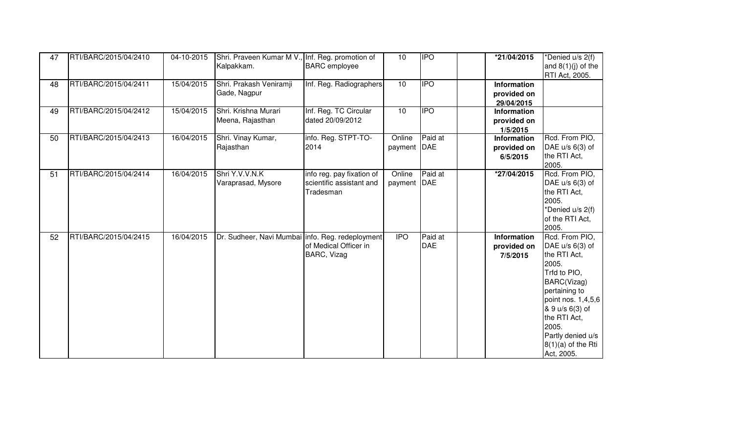| 47 | RTI/BARC/2015/04/2410 | 04-10-2015 | Shri. Praveen Kumar M V., Inf. Reg. promotion of<br>Kalpakkam. | <b>BARC</b> employee                                               | 10                    | <b>IPO</b>            | *21/04/2015                                   | *Denied u/s 2(f)<br>and $8(1)(j)$ of the<br>RTI Act, 2005.                                                                                                                                                                              |
|----|-----------------------|------------|----------------------------------------------------------------|--------------------------------------------------------------------|-----------------------|-----------------------|-----------------------------------------------|-----------------------------------------------------------------------------------------------------------------------------------------------------------------------------------------------------------------------------------------|
| 48 | RTI/BARC/2015/04/2411 | 15/04/2015 | Shri. Prakash Veniramji<br>Gade, Nagpur                        | Inf. Reg. Radiographers                                            | 10                    | <b>IPO</b>            | Information<br>provided on<br>29/04/2015      |                                                                                                                                                                                                                                         |
| 49 | RTI/BARC/2015/04/2412 | 15/04/2015 | Shri. Krishna Murari<br>Meena, Rajasthan                       | Inf. Reg. TC Circular<br>dated 20/09/2012                          | 10                    | <b>IPO</b>            | <b>Information</b><br>provided on<br>1/5/2015 |                                                                                                                                                                                                                                         |
| 50 | RTI/BARC/2015/04/2413 | 16/04/2015 | Shri. Vinay Kumar,<br>Rajasthan                                | info. Reg. STPT-TO-<br>2014                                        | Online<br>payment DAE | Paid at               | Information<br>provided on<br>6/5/2015        | Rcd. From PIO,<br>DAE u/s 6(3) of<br>the RTI Act,<br>2005.                                                                                                                                                                              |
| 51 | RTI/BARC/2015/04/2414 | 16/04/2015 | Shri Y.V.V.N.K<br>Varaprasad, Mysore                           | info reg. pay fixation of<br>scientific assistant and<br>Tradesman | Online<br>payment DAE | Paid at               | *27/04/2015                                   | Rcd. From PIO,<br>DAE $u/s$ 6(3) of<br>the RTI Act,<br>2005.<br>*Denied u/s 2(f)<br>of the RTI Act,<br>2005.                                                                                                                            |
| 52 | RTI/BARC/2015/04/2415 | 16/04/2015 | Dr. Sudheer, Navi Mumbai linfo. Reg. redeployment              | of Medical Officer in<br><b>BARC, Vizag</b>                        | <b>IPO</b>            | Paid at<br><b>DAE</b> | <b>Information</b><br>provided on<br>7/5/2015 | Rcd. From PIO,<br>DAE u/s 6(3) of<br>the RTI Act,<br>2005.<br>Trfd to PIO,<br>BARC(Vizag)<br>pertaining to<br>point nos. 1,4,5,6<br>& 9 u/s 6(3) of<br>the RTI Act,<br>2005.<br>Partly denied u/s<br>$8(1)(a)$ of the Rti<br>Act, 2005. |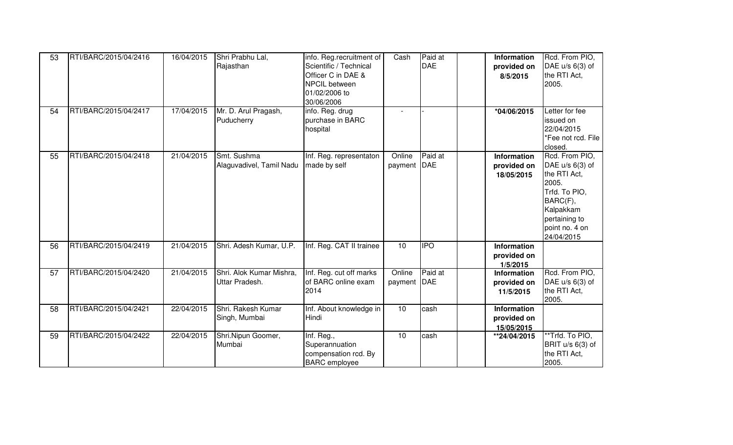| 53<br>54 | RTI/BARC/2015/04/2416<br>RTI/BARC/2015/04/2417 | 16/04/2015<br>17/04/2015 | Shri Prabhu Lal,<br>Rajasthan<br>Mr. D. Arul Pragash,<br>Puducherry | info. Reg.recruitment of<br>Scientific / Technical<br>Officer C in DAE &<br>NPCIL between<br>01/02/2006 to<br>30/06/2006<br>info. Reg. drug<br>purchase in BARC<br>hospital | Cash                    | Paid at<br><b>DAE</b> | <b>Information</b><br>provided on<br>8/5/2015<br>*04/06/2015 | Rcd. From PIO,<br>DAE $u/s$ 6(3) of<br>the RTI Act,<br>2005.<br>Letter for fee<br>issued on<br>22/04/2015<br>*Fee not rcd. File                                    |
|----------|------------------------------------------------|--------------------------|---------------------------------------------------------------------|-----------------------------------------------------------------------------------------------------------------------------------------------------------------------------|-------------------------|-----------------------|--------------------------------------------------------------|--------------------------------------------------------------------------------------------------------------------------------------------------------------------|
| 55       | RTI/BARC/2015/04/2418                          | 21/04/2015               | Smt. Sushma<br>Alaguvadivel, Tamil Nadu                             | Inf. Reg. representaton<br>made by self                                                                                                                                     | Online<br>payment DAE   | Paid at               | <b>Information</b><br>provided on<br>18/05/2015              | closed.<br>Rcd. From PIO,<br>DAE $u/s$ 6(3) of<br>the RTI Act,<br>2005.<br>Trfd. To PIO,<br>BARC(F),<br>Kalpakkam<br>pertaining to<br>point no. 4 on<br>24/04/2015 |
| 56       | RTI/BARC/2015/04/2419                          | 21/04/2015               | Shri. Adesh Kumar, U.P.                                             | Inf. Reg. CAT II trainee                                                                                                                                                    | 10                      | $\overline{1}$        | <b>Information</b><br>provided on<br>1/5/2015                |                                                                                                                                                                    |
| 57       | RTI/BARC/2015/04/2420                          | 21/04/2015               | Shri. Alok Kumar Mishra,<br>Uttar Pradesh.                          | Inf. Reg. cut off marks<br>of BARC online exam<br>2014                                                                                                                      | Online<br>payment   DAE | Paid at               | <b>Information</b><br>provided on<br>11/5/2015               | Rcd. From PIO,<br>DAE $u/s$ 6(3) of<br>the RTI Act,<br>2005.                                                                                                       |
| 58       | RTI/BARC/2015/04/2421                          | 22/04/2015               | Shri. Rakesh Kumar<br>Singh, Mumbai                                 | Inf. About knowledge in<br>Hindi                                                                                                                                            | 10                      | cash                  | <b>Information</b><br>provided on<br>15/05/2015              |                                                                                                                                                                    |
| 59       | RTI/BARC/2015/04/2422                          | 22/04/2015               | Shri.Nipun Goomer,<br>Mumbai                                        | Inf. Reg.,<br>Superannuation<br>compensation rcd. By<br><b>BARC</b> employee                                                                                                | 10                      | cash                  | **24/04/2015                                                 | **Trfd. To PIO,<br>BRIT u/s 6(3) of<br>the RTI Act,<br>2005.                                                                                                       |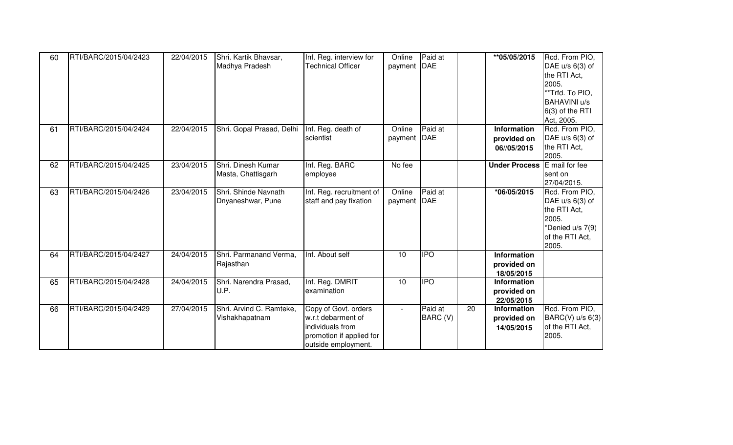| 60 | RTI/BARC/2015/04/2423 | 22/04/2015 | Shri. Kartik Bhavsar,<br>Madhya Pradesh    | Inf. Reg. interview for<br><b>Technical Officer</b>                                                               | Online<br>payment DAE | Paid at             |                 | **05/05/2015                                    | Rcd. From PIO,<br>DAE u/s 6(3) of<br>the RTI Act,<br>2005.<br>**Trfd. To PIO,<br><b>BAHAVINI u/s</b><br>6(3) of the RTI<br>Act, 2005. |
|----|-----------------------|------------|--------------------------------------------|-------------------------------------------------------------------------------------------------------------------|-----------------------|---------------------|-----------------|-------------------------------------------------|---------------------------------------------------------------------------------------------------------------------------------------|
| 61 | RTI/BARC/2015/04/2424 | 22/04/2015 | Shri. Gopal Prasad, Delhi                  | Inf. Reg. death of<br>scientist                                                                                   | Online<br>payment DAE | Paid at             |                 | Information<br>provided on<br>06//05/2015       | Rcd. From PIO,<br>DAE u/s 6(3) of<br>the RTI Act,<br>2005.                                                                            |
| 62 | RTI/BARC/2015/04/2425 | 23/04/2015 | Shri, Dinesh Kumar<br>Masta, Chattisgarh   | Inf. Reg. BARC<br>employee                                                                                        | No fee                |                     |                 | <b>Under Process</b>                            | E mail for fee<br>sent on<br>27/04/2015.                                                                                              |
| 63 | RTI/BARC/2015/04/2426 | 23/04/2015 | Shri. Shinde Navnath<br>Dnyaneshwar, Pune  | Inf. Reg. recruitment of<br>staff and pay fixation                                                                | Online<br>payment DAE | Paid at             |                 | *06/05/2015                                     | Rcd. From PIO,<br>DAE u/s 6(3) of<br>the RTI Act,<br>2005.<br>*Denied u/s 7(9)<br>of the RTI Act,<br>2005.                            |
| 64 | RTI/BARC/2015/04/2427 | 24/04/2015 | Shri. Parmanand Verma,<br>Rajasthan        | Inf. About self                                                                                                   | 10                    | <b>IPO</b>          |                 | Information<br>provided on<br>18/05/2015        |                                                                                                                                       |
| 65 | RTI/BARC/2015/04/2428 | 24/04/2015 | Shri. Narendra Prasad,<br>U.P.             | Inf. Reg. DMRIT<br>examination                                                                                    | 10                    |                     |                 | <b>Information</b><br>provided on<br>22/05/2015 |                                                                                                                                       |
| 66 | RTI/BARC/2015/04/2429 | 27/04/2015 | Shri. Arvind C. Ramteke,<br>Vishakhapatnam | Copy of Govt. orders<br>w.r.t debarment of<br>individuals from<br>promotion if applied for<br>outside employment. | $\sim$                | Paid at<br>BARC (V) | $\overline{20}$ | Information<br>provided on<br>14/05/2015        | Rcd. From PIO,<br>BARC(V) u/s 6(3)<br>of the RTI Act,<br>2005.                                                                        |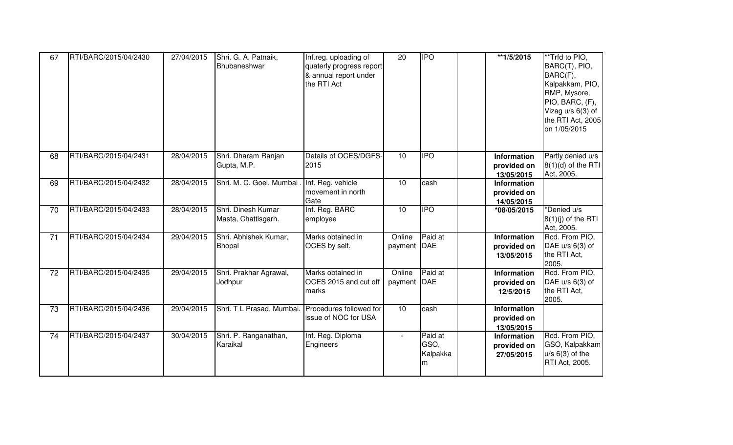| 67 | RTI/BARC/2015/04/2430 | 27/04/2015 | Shri. G. A. Patnaik,<br>Bhubaneshwar              | Inf.reg. uploading of<br>quaterly progress report<br>& annual report under<br>the RTI Act | $\overline{20}$       |                                  | **1/5/2015                                      | **Trfd to PIO,<br>BARC(T), PIO,<br>BARC(F),<br>Kalpakkam, PIO,<br>RMP, Mysore,<br>PIO, BARC, (F),<br>Vizag u/s 6(3) of<br>the RTI Act, 2005<br>on 1/05/2015 |
|----|-----------------------|------------|---------------------------------------------------|-------------------------------------------------------------------------------------------|-----------------------|----------------------------------|-------------------------------------------------|-------------------------------------------------------------------------------------------------------------------------------------------------------------|
| 68 | RTI/BARC/2015/04/2431 | 28/04/2015 | Shri. Dharam Ranjan<br>Gupta, M.P.                | Details of OCES/DGFS-<br>2015                                                             | 10                    | <b>IPO</b>                       | Information<br>provided on<br>13/05/2015        | Partly denied u/s<br>$8(1)(d)$ of the RTI<br>Act, 2005.                                                                                                     |
| 69 | RTI/BARC/2015/04/2432 | 28/04/2015 | Shri. M. C. Goel, Mumbai                          | Inf. Reg. vehicle<br>movement in north<br>Gate                                            | 10 <sup>1</sup>       | cash                             | <b>Information</b><br>provided on<br>14/05/2015 |                                                                                                                                                             |
| 70 | RTI/BARC/2015/04/2433 | 28/04/2015 | Shri. Dinesh Kumar<br>Masta, Chattisgarh.         | Inf. Reg. BARC<br>employee                                                                | 10                    | <b>IPO</b>                       | *08/05/2015                                     | *Denied u/s<br>$8(1)(j)$ of the RTI<br>Act, 2005.                                                                                                           |
| 71 | RTI/BARC/2015/04/2434 | 29/04/2015 | Shri. Abhishek Kumar,<br><b>Bhopal</b>            | Marks obtained in<br>OCES by self.                                                        | Online<br>payment DAE | Paid at                          | Information<br>provided on<br>13/05/2015        | Rcd. From PIO,<br>DAE u/s 6(3) of<br>the RTI Act,<br>2005.                                                                                                  |
| 72 | RTI/BARC/2015/04/2435 | 29/04/2015 | Shri. Prakhar Agrawal,<br>Jodhpur                 | Marks obtained in<br>OCES 2015 and cut off<br>marks                                       | Online<br>payment     | Paid at<br><b>DAE</b>            | <b>Information</b><br>provided on<br>12/5/2015  | Rcd. From PIO,<br>DAE u/s 6(3) of<br>the RTI Act,<br>2005.                                                                                                  |
| 73 | RTI/BARC/2015/04/2436 | 29/04/2015 | Shri. T L Prasad, Mumbai. Procedures followed for | issue of NOC for USA                                                                      | 10                    | cash                             | <b>Information</b><br>provided on<br>13/05/2015 |                                                                                                                                                             |
| 74 | RTI/BARC/2015/04/2437 | 30/04/2015 | Shri. P. Ranganathan,<br>Karaikal                 | Inf. Reg. Diploma<br>Engineers                                                            | $\blacksquare$        | Paid at<br>GSO,<br>Kalpakka<br>m | Information<br>provided on<br>27/05/2015        | Rcd. From PIO,<br>GSO, Kalpakkam<br>$u/s$ 6(3) of the<br>RTI Act, 2005.                                                                                     |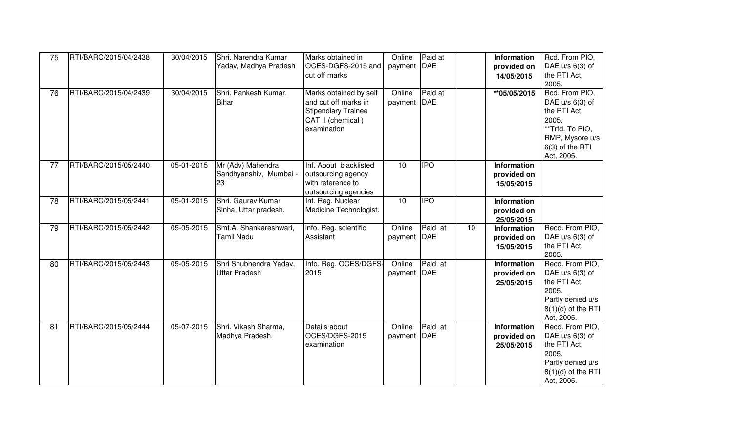| 75<br>76 | RTI/BARC/2015/04/2438<br>RTI/BARC/2015/04/2439 | 30/04/2015<br>30/04/2015 | Shri. Narendra Kumar<br>Yadav, Madhya Pradesh<br>Shri. Pankesh Kumar,<br><b>Bihar</b> | Marks obtained in<br>OCES-DGFS-2015 and<br>cut off marks<br>Marks obtained by self<br>and cut off marks in<br><b>Stipendiary Trainee</b><br>CAT II (chemical)<br>examination | Online<br>payment   DAE<br>Online<br>payment DAE | Paid at<br>Paid at |    | <b>Information</b><br>provided on<br>14/05/2015<br>** 05/05/2015 | Rcd. From PIO,<br>DAE u/s 6(3) of<br>the RTI Act,<br>2005.<br>Rcd. From PIO,<br>DAE u/s 6(3) of<br>the RTI Act,<br>2005.<br>**Trfd. To PIO,<br>RMP, Mysore u/s<br>6(3) of the RTI<br>Act, 2005. |
|----------|------------------------------------------------|--------------------------|---------------------------------------------------------------------------------------|------------------------------------------------------------------------------------------------------------------------------------------------------------------------------|--------------------------------------------------|--------------------|----|------------------------------------------------------------------|-------------------------------------------------------------------------------------------------------------------------------------------------------------------------------------------------|
| 77       | RTI/BARC/2015/05/2440                          | 05-01-2015               | Mr (Adv) Mahendra<br>Sandhyanshiv, Mumbai -<br>23                                     | Inf. About blacklisted<br>outsourcing agency<br>with reference to<br>outsourcing agencies                                                                                    | 10                                               | <b>IPO</b>         |    | Information<br>provided on<br>15/05/2015                         |                                                                                                                                                                                                 |
| 78       | RTI/BARC/2015/05/2441                          | 05-01-2015               | Shri. Gaurav Kumar<br>Sinha, Uttar pradesh.                                           | Inf. Reg. Nuclear<br>Medicine Technologist.                                                                                                                                  | 10                                               | <b>IPO</b>         |    | Information<br>provided on<br>25/05/2015                         |                                                                                                                                                                                                 |
| 79       | RTI/BARC/2015/05/2442                          | 05-05-2015               | Smt.A. Shankareshwari,<br>Tamil Nadu                                                  | info. Reg. scientific<br>Assistant                                                                                                                                           | Online<br>payment   DAE                          | Paid at            | 10 | Information<br>provided on<br>15/05/2015                         | Recd. From PIO,<br>DAE u/s 6(3) of<br>the RTI Act,<br>2005.                                                                                                                                     |
| 80       | RTI/BARC/2015/05/2443                          | 05-05-2015               | Shri Shubhendra Yadav,<br><b>Uttar Pradesh</b>                                        | Info. Reg. OCES/DGFS-<br>2015                                                                                                                                                | Online<br>payment DAE                            | Paid at            |    | Information<br>provided on<br>25/05/2015                         | Recd. From PIO,<br>DAE u/s 6(3) of<br>the RTI Act,<br>2005.<br>Partly denied u/s<br>$8(1)(d)$ of the RTI<br>Act, 2005.                                                                          |
| 81       | RTI/BARC/2015/05/2444                          | 05-07-2015               | Shri. Vikash Sharma,<br>Madhya Pradesh.                                               | Details about<br>OCES/DGFS-2015<br>examination                                                                                                                               | Online<br>payment   DAE                          | Paid at            |    | Information<br>provided on<br>25/05/2015                         | Recd. From PIO,<br>DAE u/s 6(3) of<br>the RTI Act,<br>2005.<br>Partly denied u/s<br>$8(1)(d)$ of the RTI<br>Act, 2005.                                                                          |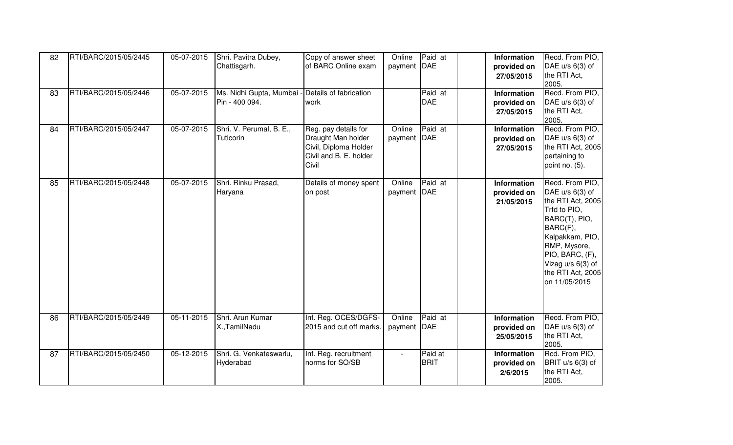| 82 | RTI/BARC/2015/05/2445 | 05-07-2015       | Shri. Pavitra Dubey,<br>Chattisgarh.                               | Copy of answer sheet<br>of BARC Online exam                                                            | Online<br>payment   DAE | Paid at                | <b>Information</b><br>provided on<br>27/05/2015 | Recd. From PIO,<br>DAE $u/s$ 6(3) of<br>the RTI Act,<br>2005.                                                                                                                                                           |
|----|-----------------------|------------------|--------------------------------------------------------------------|--------------------------------------------------------------------------------------------------------|-------------------------|------------------------|-------------------------------------------------|-------------------------------------------------------------------------------------------------------------------------------------------------------------------------------------------------------------------------|
| 83 | RTI/BARC/2015/05/2446 | 05-07-2015       | Ms. Nidhi Gupta, Mumbai - Details of fabrication<br>Pin - 400 094. | work                                                                                                   |                         | Paid at<br><b>DAE</b>  | <b>Information</b><br>provided on<br>27/05/2015 | Recd. From PIO,<br>DAE $u/s$ 6(3) of<br>the RTI Act,<br>2005.                                                                                                                                                           |
| 84 | RTI/BARC/2015/05/2447 | 05-07-2015       | Shri. V. Perumal, B. E.,<br>Tuticorin                              | Reg. pay details for<br>Draught Man holder<br>Civil, Diploma Holder<br>Civil and B. E. holder<br>Civil | Online<br>payment DAE   | Paid at                | <b>Information</b><br>provided on<br>27/05/2015 | Recd. From PIO,<br>DAE $u/s$ 6(3) of<br>the RTI Act, 2005<br>pertaining to<br>point no. (5).                                                                                                                            |
| 85 | RTI/BARC/2015/05/2448 | 05-07-2015       | Shri. Rinku Prasad,<br>Haryana                                     | Details of money spent<br>on post                                                                      | Online<br>payment DAE   | Paid at                | Information<br>provided on<br>21/05/2015        | Recd. From PIO,<br>DAE $u/s$ 6(3) of<br>the RTI Act, 2005<br>Trfd to PIO,<br>BARC(T), PIO,<br>BARC(F),<br>Kalpakkam, PIO,<br>RMP, Mysore,<br>PIO, BARC, (F),<br>Vizag u/s 6(3) of<br>the RTI Act, 2005<br>on 11/05/2015 |
| 86 | RTI/BARC/2015/05/2449 | $05 - 11 - 2015$ | Shri. Arun Kumar<br>X., TamilNadu                                  | Inf. Reg. OCES/DGFS-<br>2015 and cut off marks.                                                        | Online<br>payment   DAE | Paid at                | Information<br>provided on<br>25/05/2015        | Recd. From PIO,<br>DAE $u/s$ 6(3) of<br>the RTI Act,<br>2005.                                                                                                                                                           |
| 87 | RTI/BARC/2015/05/2450 | 05-12-2015       | Shri. G. Venkateswarlu,<br>Hyderabad                               | Inf. Reg. recruitment<br>norms for SO/SB                                                               |                         | Paid at<br><b>BRIT</b> | Information<br>provided on<br>2/6/2015          | Rcd. From PIO,<br>BRIT u/s 6(3) of<br>the RTI Act,<br>2005.                                                                                                                                                             |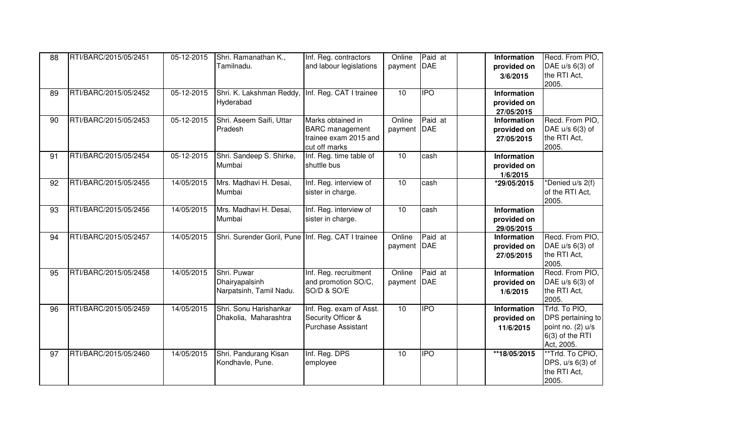| 88 | RTI/BARC/2015/05/2451 | 05-12-2015 | Shri. Ramanathan K.,                               | Inf. Reg. contractors     | Online      | Paid at    | Information        | Recd. From PIO,   |
|----|-----------------------|------------|----------------------------------------------------|---------------------------|-------------|------------|--------------------|-------------------|
|    |                       |            | Tamilnadu.                                         | and labour legislations   | payment DAE |            | provided on        | DAE u/s 6(3) of   |
|    |                       |            |                                                    |                           |             |            | 3/6/2015           | the RTI Act,      |
|    |                       |            |                                                    |                           |             |            |                    | 2005.             |
| 89 | RTI/BARC/2015/05/2452 | 05-12-2015 | Shri. K. Lakshman Reddy, Inf. Reg. CAT I trainee   |                           | 10          | <b>IPO</b> | <b>Information</b> |                   |
|    |                       |            | Hyderabad                                          |                           |             |            | provided on        |                   |
|    |                       |            |                                                    |                           |             |            | 27/05/2015         |                   |
| 90 | RTI/BARC/2015/05/2453 | 05-12-2015 | Shri. Aseem Saifi, Uttar                           | Marks obtained in         | Online      | Paid at    | <b>Information</b> | Recd. From PIO,   |
|    |                       |            | Pradesh                                            | <b>BARC</b> management    | payment DAE |            | provided on        | DAE $u/s$ 6(3) of |
|    |                       |            |                                                    | trainee exam 2015 and     |             |            | 27/05/2015         | the RTI Act,      |
|    |                       |            |                                                    | cut off marks             |             |            |                    | 2005.             |
| 91 | RTI/BARC/2015/05/2454 | 05-12-2015 | Shri. Sandeep S. Shirke,                           | Inf. Reg. time table of   | 10          | cash       | Information        |                   |
|    |                       |            | Mumbai                                             | shuttle bus               |             |            | provided on        |                   |
|    |                       |            |                                                    |                           |             |            | 1/6/2015           |                   |
| 92 | RTI/BARC/2015/05/2455 | 14/05/2015 | Mrs. Madhavi H. Desai,                             | Inf. Reg. interview of    | 10          | cash       | *29/05/2015        | *Denied u/s 2(f)  |
|    |                       |            | Mumbai                                             | sister in charge.         |             |            |                    | of the RTI Act,   |
|    |                       |            |                                                    |                           |             |            |                    | 2005.             |
| 93 | RTI/BARC/2015/05/2456 | 14/05/2015 | Mrs. Madhavi H. Desai,                             | Inf. Reg. interview of    | 10          | cash       | <b>Information</b> |                   |
|    |                       |            | Mumbai                                             | sister in charge.         |             |            | provided on        |                   |
|    |                       |            |                                                    |                           |             |            | 29/05/2015         |                   |
| 94 | RTI/BARC/2015/05/2457 | 14/05/2015 | Shri. Surender Goril, Pune Inf. Reg. CAT I trainee |                           | Online      | Paid at    | <b>Information</b> | Recd. From PIO,   |
|    |                       |            |                                                    |                           | payment DAE |            | provided on        | DAE $u/s$ 6(3) of |
|    |                       |            |                                                    |                           |             |            | 27/05/2015         | the RTI Act,      |
|    |                       |            |                                                    |                           |             |            |                    | 2005.             |
| 95 | RTI/BARC/2015/05/2458 | 14/05/2015 | Shri. Puwar                                        | Inf. Reg. recruitment     | Online      | Paid at    | Information        | Recd. From PIO,   |
|    |                       |            | Dhairyapalsinh                                     | and promotion SO/C,       | payment DAE |            | provided on        | DAE u/s 6(3) of   |
|    |                       |            | Narpatsinh, Tamil Nadu.                            | SO/D & SO/E               |             |            | 1/6/2015           | the RTI Act,      |
|    |                       |            |                                                    |                           |             |            |                    | 2005.             |
| 96 | RTI/BARC/2015/05/2459 | 14/05/2015 | Shri. Sonu Harishankar                             | Inf. Reg. exam of Asst.   | 10          | <b>IPO</b> | <b>Information</b> | Trfd. To PIO.     |
|    |                       |            | Dhakolia, Maharashtra                              | Security Officer &        |             |            | provided on        | DPS pertaining to |
|    |                       |            |                                                    | <b>Purchase Assistant</b> |             |            | 11/6/2015          | point no. (2) u/s |
|    |                       |            |                                                    |                           |             |            |                    | 6(3) of the RTI   |
|    |                       |            |                                                    |                           |             |            |                    | Act, 2005.        |
| 97 | RTI/BARC/2015/05/2460 | 14/05/2015 | Shri. Pandurang Kisan                              | Inf. Reg. DPS             | 10          | <b>IPO</b> | **18/05/2015       | **Trfd. To CPIO,  |
|    |                       |            | Kondhavle, Pune.                                   | employee                  |             |            |                    | DPS, u/s 6(3) of  |
|    |                       |            |                                                    |                           |             |            |                    | the RTI Act,      |
|    |                       |            |                                                    |                           |             |            |                    | 2005.             |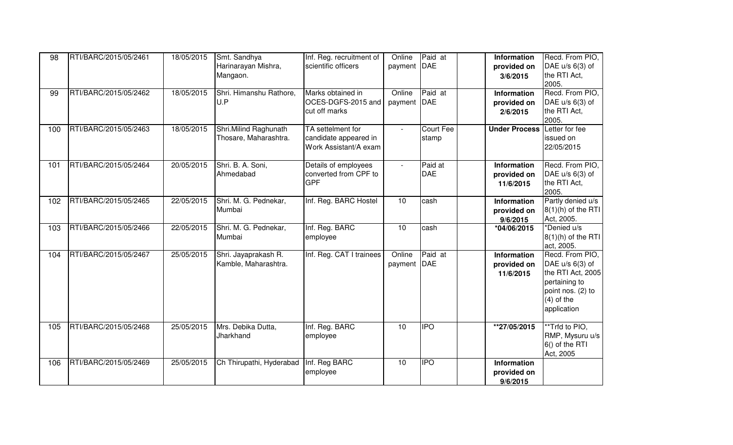| 98  | RTI/BARC/2015/05/2461 | 18/05/2015 | Smt. Sandhya             | Inf. Reg. recruitment of                       | Online                      | Paid at          | Information             | Recd. From PIO,                   |
|-----|-----------------------|------------|--------------------------|------------------------------------------------|-----------------------------|------------------|-------------------------|-----------------------------------|
|     |                       |            | Harinarayan Mishra,      | scientific officers                            | payment                     | DAE              | provided on             | DAE $u/s$ 6(3) of<br>the RTI Act, |
|     |                       |            | Mangaon.                 |                                                |                             |                  | 3/6/2015                | 2005.                             |
| 99  | RTI/BARC/2015/05/2462 | 18/05/2015 | Shri. Himanshu Rathore,  | Marks obtained in                              | Online                      | Paid at          | Information             | Recd. From PIO,                   |
|     |                       |            | U.P                      | OCES-DGFS-2015 and                             | payment                     | DAE              | provided on             | DAE u/s 6(3) of                   |
|     |                       |            |                          | cut off marks                                  |                             |                  | 2/6/2015                | the RTI Act,                      |
|     |                       |            |                          |                                                |                             |                  |                         | 2005.                             |
| 100 | RTI/BARC/2015/05/2463 | 18/05/2015 | Shri. Milind Raghunath   | TA settelment for                              | $\mathcal{L}_{\mathcal{A}}$ | <b>Court Fee</b> | <b>Under Process</b>    | Letter for fee                    |
|     |                       |            | Thosare, Maharashtra.    | candidate appeared in<br>Work Assistant/A exam |                             | stamp            |                         | issued on<br>22/05/2015           |
|     |                       |            |                          |                                                |                             |                  |                         |                                   |
| 101 | RTI/BARC/2015/05/2464 | 20/05/2015 | Shri. B. A. Soni,        | Details of employees                           | $\mathbf{r}$                | Paid at          | Information             | Recd. From PIO,                   |
|     |                       |            | Ahmedabad                | converted from CPF to                          |                             | <b>DAE</b>       | provided on             | DAE $u/s$ 6(3) of                 |
|     |                       |            |                          | <b>GPF</b>                                     |                             |                  | 11/6/2015               | the RTI Act,                      |
|     |                       |            |                          |                                                |                             |                  |                         | 2005.                             |
| 102 | RTI/BARC/2015/05/2465 | 22/05/2015 | Shri. M. G. Pednekar,    | Inf. Reg. BARC Hostel                          | 10                          | cash             | Information             | Partly denied u/s                 |
|     |                       |            | Mumbai                   |                                                |                             |                  | provided on             | $8(1)(h)$ of the RTI              |
| 103 | RTI/BARC/2015/05/2466 | 22/05/2015 | Shri. M. G. Pednekar,    | Inf. Reg. BARC                                 | 10                          | cash             | 9/6/2015<br>*04/06/2015 | Act, 2005.<br>*Denied u/s         |
|     |                       |            | Mumbai                   | employee                                       |                             |                  |                         | $8(1)(h)$ of the RTI              |
|     |                       |            |                          |                                                |                             |                  |                         | act, 2005.                        |
| 104 | RTI/BARC/2015/05/2467 | 25/05/2015 | Shri. Jayaprakash R.     | Inf. Reg. CAT I trainees                       | Online                      | Paid at          | <b>Information</b>      | Recd. From PIO,                   |
|     |                       |            | Kamble, Maharashtra.     |                                                | payment                     | <b>DAE</b>       | provided on             | DAE $u/s$ 6(3) of                 |
|     |                       |            |                          |                                                |                             |                  | 11/6/2015               | the RTI Act, 2005                 |
|     |                       |            |                          |                                                |                             |                  |                         | pertaining to                     |
|     |                       |            |                          |                                                |                             |                  |                         | point nos. (2) to                 |
|     |                       |            |                          |                                                |                             |                  |                         | $(4)$ of the<br>application       |
|     |                       |            |                          |                                                |                             |                  |                         |                                   |
| 105 | RTI/BARC/2015/05/2468 | 25/05/2015 | Mrs. Debika Dutta,       | Inf. Reg. BARC                                 | 10                          |                  | $*27/05/2015$           | **Trfd to PIO,                    |
|     |                       |            | Jharkhand                | employee                                       |                             |                  |                         | RMP, Mysuru u/s                   |
|     |                       |            |                          |                                                |                             |                  |                         | 6() of the RTI                    |
|     |                       |            |                          |                                                |                             |                  |                         | Act, 2005                         |
| 106 | RTI/BARC/2015/05/2469 | 25/05/2015 | Ch Thirupathi, Hyderabad | Inf. Reg BARC                                  | 10                          | <b>IPO</b>       | Information             |                                   |
|     |                       |            |                          | employee                                       |                             |                  | provided on             |                                   |
|     |                       |            |                          |                                                |                             |                  | 9/6/2015                |                                   |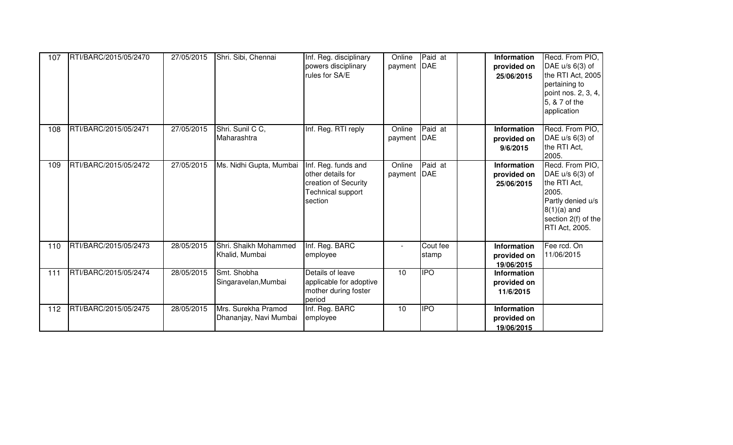| 107 | RTI/BARC/2015/05/2470 | 27/05/2015 | Shri. Sibi, Chennai                           | Inf. Reg. disciplinary<br>powers disciplinary<br>rules for SA/E                                         | Online<br>payment       | Paid at<br>DAE    | Information<br>provided on<br>25/06/2015        | Recd. From PIO,<br>DAE $u/s$ 6(3) of<br>the RTI Act, 2005<br>pertaining to<br>point nos. 2, 3, 4,<br>5, & 7 of the<br>application            |
|-----|-----------------------|------------|-----------------------------------------------|---------------------------------------------------------------------------------------------------------|-------------------------|-------------------|-------------------------------------------------|----------------------------------------------------------------------------------------------------------------------------------------------|
| 108 | RTI/BARC/2015/05/2471 | 27/05/2015 | Shri. Sunil C C,<br>Maharashtra               | Inf. Reg. RTI reply                                                                                     | Online<br>payment   DAE | Paid at           | <b>Information</b><br>provided on<br>9/6/2015   | Recd. From PIO,<br>DAE u/s 6(3) of<br>the RTI Act,<br>2005.                                                                                  |
| 109 | RTI/BARC/2015/05/2472 | 27/05/2015 | Ms. Nidhi Gupta, Mumbai                       | Inf. Reg. funds and<br>other details for<br>creation of Security<br><b>Technical support</b><br>section | Online<br>payment DAE   | Paid at           | <b>Information</b><br>provided on<br>25/06/2015 | Recd. From PIO,<br>DAE $u/s$ 6(3) of<br>the RTI Act,<br>2005.<br>Partly denied u/s<br>$8(1)(a)$ and<br>section 2(f) of the<br>RTI Act, 2005. |
| 110 | RTI/BARC/2015/05/2473 | 28/05/2015 | Shri. Shaikh Mohammed<br>Khalid, Mumbai       | Inf. Reg. BARC<br>employee                                                                              |                         | Cout fee<br>stamp | Information<br>provided on<br>19/06/2015        | Fee rcd. On<br>11/06/2015                                                                                                                    |
| 111 | RTI/BARC/2015/05/2474 | 28/05/2015 | Smt. Shobha<br>Singaravelan, Mumbai           | Details of leave<br>applicable for adoptive<br>mother during foster<br>period                           | 10                      | <b>IPO</b>        | <b>Information</b><br>provided on<br>11/6/2015  |                                                                                                                                              |
| 112 | RTI/BARC/2015/05/2475 | 28/05/2015 | Mrs. Surekha Pramod<br>Dhananjay, Navi Mumbai | Inf. Reg. BARC<br>employee                                                                              | 10                      | $\overline{IPO}$  | <b>Information</b><br>provided on<br>19/06/2015 |                                                                                                                                              |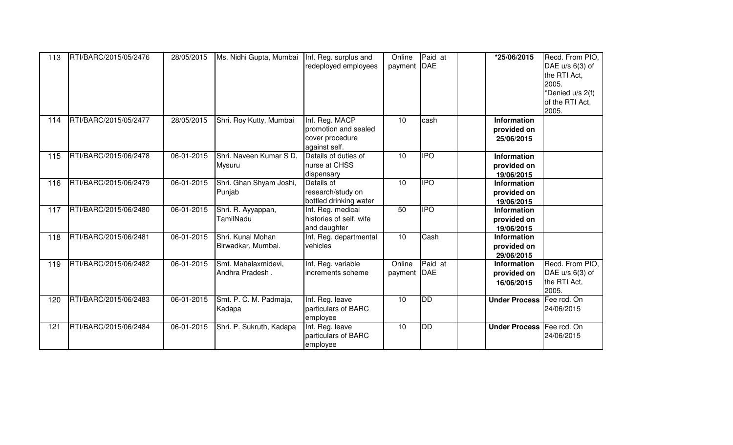| 113 | RTI/BARC/2015/05/2476 | 28/05/2015 | Ms. Nidhi Gupta, Mumbai                 | Inf. Reg. surplus and<br>redeployed employees                              | Online<br>payment | Paid at<br>DAE | *25/06/2015                                     | Recd. From PIO,<br>DAE $u/s$ 6(3) of<br>the RTI Act,<br>2005.<br>*Denied u/s 2(f)<br>of the RTI Act,<br>2005. |
|-----|-----------------------|------------|-----------------------------------------|----------------------------------------------------------------------------|-------------------|----------------|-------------------------------------------------|---------------------------------------------------------------------------------------------------------------|
| 114 | RTI/BARC/2015/05/2477 | 28/05/2015 | Shri. Roy Kutty, Mumbai                 | Inf. Reg. MACP<br>promotion and sealed<br>cover procedure<br>against self. | 10                | cash           | <b>Information</b><br>provided on<br>25/06/2015 |                                                                                                               |
| 115 | RTI/BARC/2015/06/2478 | 06-01-2015 | Shri. Naveen Kumar S D.<br>Mysuru       | Details of duties of<br>nurse at CHSS<br>dispensary                        | 10                | <b>IPO</b>     | <b>Information</b><br>provided on<br>19/06/2015 |                                                                                                               |
| 116 | RTI/BARC/2015/06/2479 | 06-01-2015 | Shri. Ghan Shyam Joshi,<br>Punjab       | Details of<br>research/study on<br>bottled drinking water                  | 10                | <b>IPO</b>     | <b>Information</b><br>provided on<br>19/06/2015 |                                                                                                               |
| 117 | RTI/BARC/2015/06/2480 | 06-01-2015 | Shri. R. Ayyappan,<br>TamilNadu         | Inf. Reg. medical<br>histories of self, wife<br>and daughter               | 50                | <b>IPO</b>     | <b>Information</b><br>provided on<br>19/06/2015 |                                                                                                               |
| 118 | RTI/BARC/2015/06/2481 | 06-01-2015 | Shri, Kunal Mohan<br>Birwadkar, Mumbai. | Inf. Reg. departmental<br>vehicles                                         | 10                | Cash           | <b>Information</b><br>provided on<br>29/06/2015 |                                                                                                               |
| 119 | RTI/BARC/2015/06/2482 | 06-01-2015 | Smt. Mahalaxmidevi,<br>Andhra Pradesh.  | Inf. Reg. variable<br>increments scheme                                    | Online<br>payment | Paid at<br>DAE | <b>Information</b><br>provided on<br>16/06/2015 | Recd. From PIO,<br>DAE $u/s$ 6(3) of<br>the RTI Act,<br>2005.                                                 |
| 120 | RTI/BARC/2015/06/2483 | 06-01-2015 | Smt. P. C. M. Padmaja,<br>Kadapa        | Inf. Reg. leave<br>particulars of BARC<br>employee                         | 10                | DD             | <b>Under Process</b>                            | Fee rcd. On<br>24/06/2015                                                                                     |
| 121 | RTI/BARC/2015/06/2484 | 06-01-2015 | Shri. P. Sukruth, Kadapa                | Inf. Reg. leave<br>particulars of BARC<br>employee                         | 10                | <b>DD</b>      | <b>Under Process</b>                            | Fee rcd. On<br>24/06/2015                                                                                     |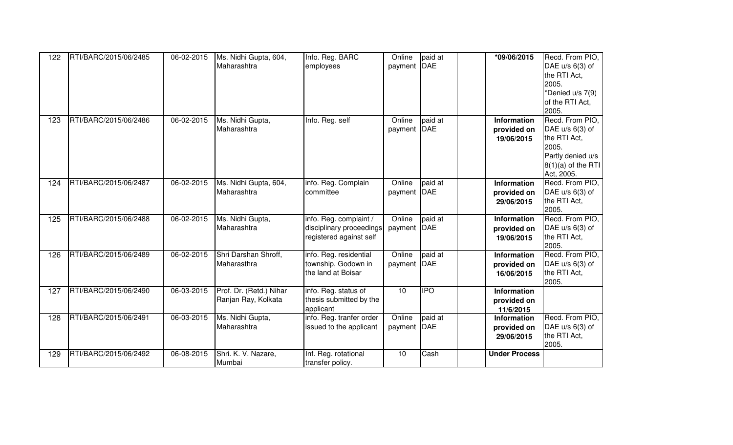| 122 | RTI/BARC/2015/06/2485 | 06-02-2015 | Ms. Nidhi Gupta, 604,<br>Maharashtra           | Info. Reg. BARC<br>employees                                                  | Online<br>payment DAE   | paid at    | *09/06/2015                                     | Recd. From PIO,<br>DAE u/s 6(3) of<br>the RTI Act,<br>2005.<br>*Denied u/s 7(9)<br>of the RTI Act,<br>2005.              |
|-----|-----------------------|------------|------------------------------------------------|-------------------------------------------------------------------------------|-------------------------|------------|-------------------------------------------------|--------------------------------------------------------------------------------------------------------------------------|
| 123 | RTI/BARC/2015/06/2486 | 06-02-2015 | Ms. Nidhi Gupta,<br>Maharashtra                | Info. Reg. self                                                               | Online<br>payment DAE   | paid at    | Information<br>provided on<br>19/06/2015        | Recd. From PIO,<br>DAE $u/s$ 6(3) of<br>the RTI Act,<br>2005.<br>Partly denied u/s<br>$8(1)(a)$ of the RTI<br>Act, 2005. |
| 124 | RTI/BARC/2015/06/2487 | 06-02-2015 | Ms. Nidhi Gupta, 604,<br>Maharashtra           | info. Reg. Complain<br>committee                                              | Online<br>payment   DAE | paid at    | Information<br>provided on<br>29/06/2015        | Recd. From PIO,<br>DAE u/s 6(3) of<br>the RTI Act,<br>2005.                                                              |
| 125 | RTI/BARC/2015/06/2488 | 06-02-2015 | Ms. Nidhi Gupta,<br>Maharashtra                | info. Reg. complaint /<br>disciplinary proceedings<br>registered against self | Online<br>payment DAE   | paid at    | Information<br>provided on<br>19/06/2015        | Recd. From PIO,<br>DAE u/s 6(3) of<br>the RTI Act,<br>2005.                                                              |
| 126 | RTI/BARC/2015/06/2489 | 06-02-2015 | Shri Darshan Shroff,<br>Maharasthra            | info. Reg. residential<br>township, Godown in<br>the land at Boisar           | Online<br>payment DAE   | paid at    | Information<br>provided on<br>16/06/2015        | Recd. From PIO,<br>DAE u/s 6(3) of<br>the RTI Act,<br>2005.                                                              |
| 127 | RTI/BARC/2015/06/2490 | 06-03-2015 | Prof. Dr. (Retd.) Nihar<br>Ranjan Ray, Kolkata | info. Reg. status of<br>thesis submitted by the<br>applicant                  | 10                      | <b>IPO</b> | Information<br>provided on<br>11/6/2015         |                                                                                                                          |
| 128 | RTI/BARC/2015/06/2491 | 06-03-2015 | Ms. Nidhi Gupta,<br>Maharashtra                | info. Reg. tranfer order<br>issued to the applicant                           | Online<br>payment DAE   | paid at    | <b>Information</b><br>provided on<br>29/06/2015 | Recd. From PIO,<br>DAE u/s 6(3) of<br>the RTI Act,<br>2005.                                                              |
| 129 | RTI/BARC/2015/06/2492 | 06-08-2015 | Shri. K. V. Nazare,<br>Mumbai                  | Inf. Reg. rotational<br>transfer policy.                                      | 10                      | Cash       | <b>Under Process</b>                            |                                                                                                                          |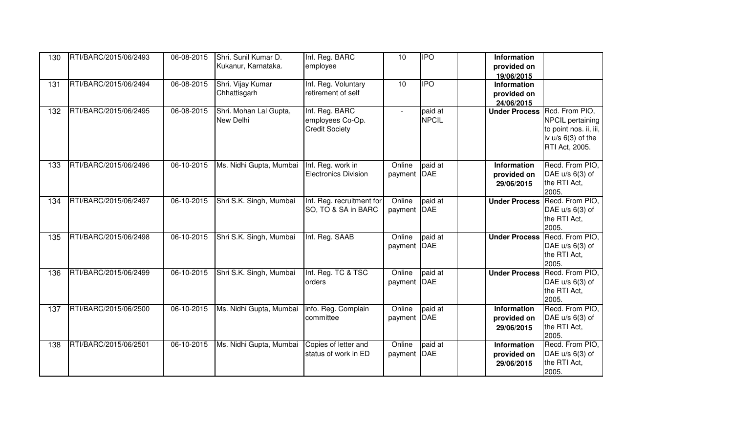| 130 | RTI/BARC/2015/06/2493 | 06-08-2015 | Shri. Sunil Kumar D.    | Inf. Reg. BARC              | 10      | <b>IPO</b>   | Information          |                        |
|-----|-----------------------|------------|-------------------------|-----------------------------|---------|--------------|----------------------|------------------------|
|     |                       |            | Kukanur, Karnataka.     | employee                    |         |              | provided on          |                        |
|     |                       |            |                         |                             |         |              | 19/06/2015           |                        |
| 131 | RTI/BARC/2015/06/2494 | 06-08-2015 | Shri. Vijay Kumar       | Inf. Reg. Voluntary         | 10      |              | Information          |                        |
|     |                       |            | Chhattisgarh            | retirement of self          |         |              | provided on          |                        |
|     |                       |            |                         |                             |         |              | 24/06/2015           |                        |
| 132 | RTI/BARC/2015/06/2495 | 06-08-2015 | Shri. Mohan Lal Gupta,  | Inf. Reg. BARC              | $\sim$  | paid at      | <b>Under Process</b> | Rcd. From PIO,         |
|     |                       |            | New Delhi               | employees Co-Op.            |         | <b>NPCIL</b> |                      | NPCIL pertaining       |
|     |                       |            |                         | <b>Credit Society</b>       |         |              |                      | to point nos. ii, iii, |
|     |                       |            |                         |                             |         |              |                      | iv $u/s$ 6(3) of the   |
|     |                       |            |                         |                             |         |              |                      | RTI Act, 2005.         |
|     |                       |            |                         |                             |         |              |                      |                        |
| 133 | RTI/BARC/2015/06/2496 | 06-10-2015 | Ms. Nidhi Gupta, Mumbai | Inf. Reg. work in           | Online  | paid at      | Information          | Recd. From PIO,        |
|     |                       |            |                         | <b>Electronics Division</b> | payment | DAE          | provided on          | DAE $u/s$ 6(3) of      |
|     |                       |            |                         |                             |         |              | 29/06/2015           | the RTI Act,           |
|     |                       |            |                         |                             |         |              |                      | 2005.                  |
| 134 | RTI/BARC/2015/06/2497 | 06-10-2015 | Shri S.K. Singh, Mumbai | Inf. Reg. recruitment for   | Online  | paid at      | <b>Under Process</b> | Recd. From PIO,        |
|     |                       |            |                         | SO, TO & SA in BARC         | payment | <b>DAE</b>   |                      | DAE $u/s$ 6(3) of      |
|     |                       |            |                         |                             |         |              |                      | the RTI Act,           |
|     |                       |            |                         |                             |         |              |                      | 2005.                  |
| 135 | RTI/BARC/2015/06/2498 | 06-10-2015 | Shri S.K. Singh, Mumbai | Inf. Reg. SAAB              | Online  | paid at      | <b>Under Process</b> | Recd. From PIO,        |
|     |                       |            |                         |                             | payment | DAE          |                      | DAE u/s 6(3) of        |
|     |                       |            |                         |                             |         |              |                      | the RTI Act,           |
|     |                       |            |                         |                             |         |              |                      | 2005.                  |
| 136 | RTI/BARC/2015/06/2499 | 06-10-2015 | Shri S.K. Singh, Mumbai | Inf. Reg. TC & TSC          | Online  | paid at      | <b>Under Process</b> | Recd. From PIO,        |
|     |                       |            |                         | orders                      | payment | <b>DAE</b>   |                      | DAE u/s 6(3) of        |
|     |                       |            |                         |                             |         |              |                      | the RTI Act,           |
|     |                       |            |                         |                             |         |              |                      | 2005.                  |
| 137 | RTI/BARC/2015/06/2500 | 06-10-2015 | Ms. Nidhi Gupta, Mumbai | info. Reg. Complain         | Online  | paid at      | Information          | Recd. From PIO,        |
|     |                       |            |                         | committee                   | payment | DAE          | provided on          | DAE u/s 6(3) of        |
|     |                       |            |                         |                             |         |              | 29/06/2015           | the RTI Act,           |
|     |                       |            |                         |                             |         |              |                      | 2005.                  |
| 138 | RTI/BARC/2015/06/2501 | 06-10-2015 | Ms. Nidhi Gupta, Mumbai | Copies of letter and        | Online  | paid at      | Information          | Recd. From PIO,        |
|     |                       |            |                         | status of work in ED        | payment | <b>DAE</b>   | provided on          | DAE u/s 6(3) of        |
|     |                       |            |                         |                             |         |              | 29/06/2015           | the RTI Act,           |
|     |                       |            |                         |                             |         |              |                      | 2005.                  |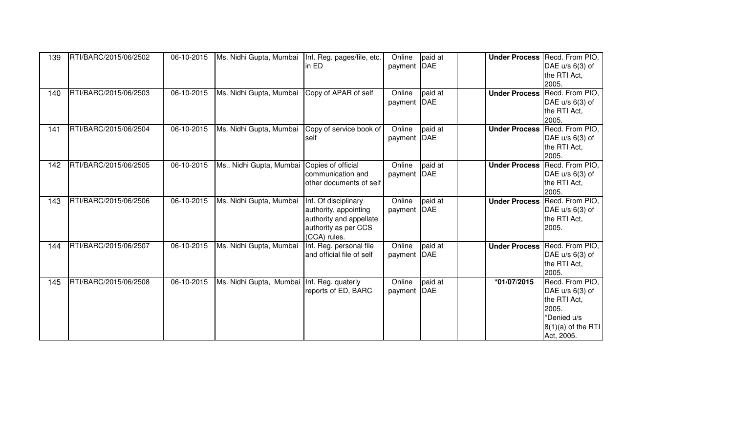| 139 | RTI/BARC/2015/06/2502 | 06-10-2015 | Ms. Nidhi Gupta, Mumbai   Inf. Reg. pages/file, etc. | in ED                                                                                                            | Online<br>payment     | paid at<br><b>DAE</b> | <b>Under Process</b> | Recd. From PIO,<br>DAE $u/s$ 6(3) of<br>the RTI Act.<br>2005.                                                      |
|-----|-----------------------|------------|------------------------------------------------------|------------------------------------------------------------------------------------------------------------------|-----------------------|-----------------------|----------------------|--------------------------------------------------------------------------------------------------------------------|
| 140 | RTI/BARC/2015/06/2503 | 06-10-2015 | Ms. Nidhi Gupta, Mumbai                              | Copy of APAR of self                                                                                             | Online<br>payment DAE | paid at               | <b>Under Process</b> | Recd. From PIO,<br>DAE $u/s$ 6(3) of<br>the RTI Act,<br>2005.                                                      |
| 141 | RTI/BARC/2015/06/2504 | 06-10-2015 | Ms. Nidhi Gupta, Mumbai                              | Copy of service book of<br>self                                                                                  | Online<br>payment     | paid at<br><b>DAE</b> | <b>Under Process</b> | Recd. From PIO,<br>DAE $u/s$ 6(3) of<br>the RTI Act,<br>2005.                                                      |
| 142 | RTI/BARC/2015/06/2505 | 06-10-2015 | Ms Nidhi Gupta, Mumbai                               | Copies of official<br>communication and<br>other documents of self                                               | Online<br>payment     | paid at<br><b>DAE</b> | <b>Under Process</b> | Recd. From PIO,<br>DAE $u/s$ 6(3) of<br>the RTI Act,<br>2005.                                                      |
| 143 | RTI/BARC/2015/06/2506 | 06-10-2015 | Ms. Nidhi Gupta, Mumbai                              | Inf. Of disciplinary<br>authority, appointing<br>authority and appellate<br>authority as per CCS<br>(CCA) rules. | Online<br>payment     | paid at<br>DAE        | <b>Under Process</b> | Recd. From PIO,<br>DAE u/s 6(3) of<br>the RTI Act.<br>2005.                                                        |
| 144 | RTI/BARC/2015/06/2507 | 06-10-2015 | Ms. Nidhi Gupta, Mumbai                              | Inf. Reg. personal file<br>and official file of self                                                             | Online<br>payment     | paid at<br><b>DAE</b> | <b>Under Process</b> | Recd. From PIO,<br>DAE $u/s$ 6(3) of<br>the RTI Act,<br>2005.                                                      |
| 145 | RTI/BARC/2015/06/2508 | 06-10-2015 | Ms. Nidhi Gupta, Mumbai   Inf. Reg. quaterly         | reports of ED, BARC                                                                                              | Online<br>payment     | paid at<br><b>DAE</b> | *01/07/2015          | Recd. From PIO,<br>DAE $u/s$ 6(3) of<br>the RTI Act,<br>2005.<br>*Denied u/s<br>$8(1)(a)$ of the RTI<br>Act, 2005. |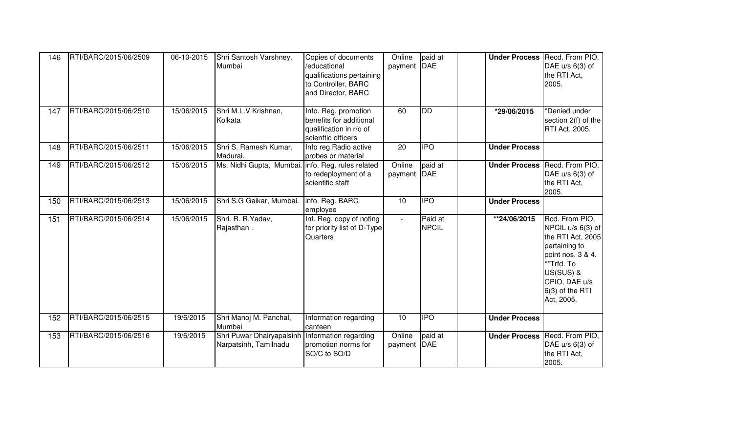| 146 | RTI/BARC/2015/06/2509 | 06-10-2015 | Shri Santosh Varshney,<br>Mumbai                                           | Copies of documents<br>/educational<br>qualifications pertaining<br>to Controller, BARC<br>and Director, BARC | Online<br>payment         | paid at<br><b>DAE</b>   | <b>Under Process</b> | Recd. From PIO,<br>DAE $u/s$ 6(3) of<br>the RTI Act,<br>2005.                                                                                                               |
|-----|-----------------------|------------|----------------------------------------------------------------------------|---------------------------------------------------------------------------------------------------------------|---------------------------|-------------------------|----------------------|-----------------------------------------------------------------------------------------------------------------------------------------------------------------------------|
| 147 | RTI/BARC/2015/06/2510 | 15/06/2015 | Shri M.L.V Krishnan,<br>Kolkata                                            | Info. Reg. promotion<br>benefits for additional<br>qualification in r/o of<br>scienftic officers              | 60                        | <b>DD</b>               | *29/06/2015          | *Denied under<br>section 2(f) of the<br>RTI Act, 2005.                                                                                                                      |
| 148 | RTI/BARC/2015/06/2511 | 15/06/2015 | Shri S. Ramesh Kumar,<br>Madurai.                                          | Info reg. Radio active<br>probes or material                                                                  | 20                        | <b>IPO</b>              | <b>Under Process</b> |                                                                                                                                                                             |
| 149 | RTI/BARC/2015/06/2512 | 15/06/2015 | Ms. Nidhi Gupta, Mumbai. info. Reg. rules related                          | to redeployment of a<br>scientific staff                                                                      | Online<br>payment DAE     | paid at                 |                      | <b>Under Process Recd. From PIO,</b><br>DAE $u/s$ 6(3) of<br>the RTI Act,<br>2005.                                                                                          |
| 150 | RTI/BARC/2015/06/2513 | 15/06/2015 | Shri S.G Gaikar, Mumbai.                                                   | info. Reg. BARC<br>employee                                                                                   | 10                        | <b>IPO</b>              | <b>Under Process</b> |                                                                                                                                                                             |
| 151 | RTI/BARC/2015/06/2514 | 15/06/2015 | Shri. R. R. Yadav,<br>Rajasthan.                                           | Inf. Reg. copy of noting<br>for priority list of D-Type<br>Quarters                                           | $\mathbb{Z}^{\mathbb{Z}}$ | Paid at<br><b>NPCIL</b> | **24/06/2015         | Rcd. From PIO,<br>NPCIL u/s 6(3) of<br>the RTI Act, 2005<br>pertaining to<br>point nos. 3 & 4.<br>**Trfd. To<br>US(SUS) &<br>CPIO, DAE u/s<br>6(3) of the RTI<br>Act, 2005. |
| 152 | RTI/BARC/2015/06/2515 | 19/6/2015  | Shri Manoj M. Panchal,<br>Mumbai                                           | Information regarding<br>canteen                                                                              | 10                        | <b>IPO</b>              | <b>Under Process</b> |                                                                                                                                                                             |
| 153 | RTI/BARC/2015/06/2516 | 19/6/2015  | Shri Puwar Dhairyapalsinh   Information regarding<br>Narpatsinh, Tamilnadu | promotion norms for<br>SO/C to SO/D                                                                           | Online<br>payment         | paid at<br><b>DAE</b>   |                      | <b>Under Process Recd. From PIO,</b><br>DAE u/s 6(3) of<br>the RTI Act,<br>2005.                                                                                            |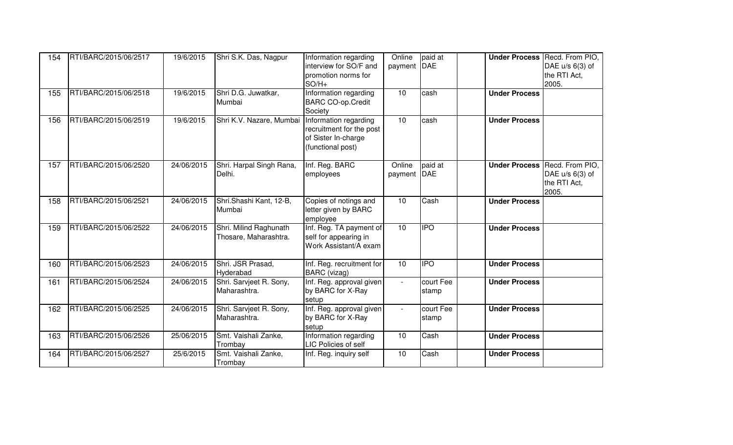| 154 | RTI/BARC/2015/06/2517 | 19/6/2015  | Shri S.K. Das, Nagpur                           | Information regarding<br>interview for SO/F and<br>promotion norms for<br>$SO/H+$             | Online<br>payment           | paid at<br><b>DAE</b> | <b>Under Process</b> | Recd. From PIO,<br>DAE $u/s$ 6(3) of<br>the RTI Act,<br>2005. |
|-----|-----------------------|------------|-------------------------------------------------|-----------------------------------------------------------------------------------------------|-----------------------------|-----------------------|----------------------|---------------------------------------------------------------|
| 155 | RTI/BARC/2015/06/2518 | 19/6/2015  | Shri D.G. Juwatkar,<br>Mumbai                   | Information regarding<br><b>BARC CO-op.Credit</b><br>Society                                  | 10                          | cash                  | <b>Under Process</b> |                                                               |
| 156 | RTI/BARC/2015/06/2519 | 19/6/2015  | Shri K.V. Nazare, Mumbai                        | Information regarding<br>recruitment for the post<br>of Sister In-charge<br>(functional post) | $\overline{10}$             | cash                  | <b>Under Process</b> |                                                               |
| 157 | RTI/BARC/2015/06/2520 | 24/06/2015 | Shri. Harpal Singh Rana,<br>Delhi.              | Inf. Reg. BARC<br>employees                                                                   | Online<br>payment           | paid at<br>DAE        | <b>Under Process</b> | Recd. From PIO,<br>DAE $u/s$ 6(3) of<br>the RTI Act,<br>2005. |
| 158 | RTI/BARC/2015/06/2521 | 24/06/2015 | Shri.Shashi Kant, 12-B,<br>Mumbai               | Copies of notings and<br>letter given by BARC<br>employee                                     | 10 <sup>1</sup>             | Cash                  | <b>Under Process</b> |                                                               |
| 159 | RTI/BARC/2015/06/2522 | 24/06/2015 | Shri. Milind Raghunath<br>Thosare, Maharashtra. | Inf. Reg. TA payment of<br>self for appearing in<br>Work Assistant/A exam                     | 10                          | <b>IPO</b>            | <b>Under Process</b> |                                                               |
| 160 | RTI/BARC/2015/06/2523 | 24/06/2015 | Shri. JSR Prasad,<br>Hyderabad                  | Inf. Reg. recruitment for<br>BARC (vizag)                                                     | 10                          | <b>IPO</b>            | <b>Under Process</b> |                                                               |
| 161 | RTI/BARC/2015/06/2524 | 24/06/2015 | Shri. Sarvjeet R. Sony,<br>Maharashtra.         | Inf. Reg. approval given<br>by BARC for X-Ray<br>setup                                        | $\sim$                      | court Fee<br>stamp    | <b>Under Process</b> |                                                               |
| 162 | RTI/BARC/2015/06/2525 | 24/06/2015 | Shri. Sarvjeet R. Sony,<br>Maharashtra.         | Inf. Reg. approval given<br>by BARC for X-Ray<br>setup                                        | $\mathcal{L}^{\mathcal{A}}$ | court Fee<br>stamp    | <b>Under Process</b> |                                                               |
| 163 | RTI/BARC/2015/06/2526 | 25/06/2015 | Smt. Vaishali Zanke,<br>Trombay                 | Information regarding<br>LIC Policies of self                                                 | 10                          | Cash                  | <b>Under Process</b> |                                                               |
| 164 | RTI/BARC/2015/06/2527 | 25/6/2015  | Smt. Vaishali Zanke,<br>Trombay                 | Inf. Reg. inquiry self                                                                        | 10                          | Cash                  | <b>Under Process</b> |                                                               |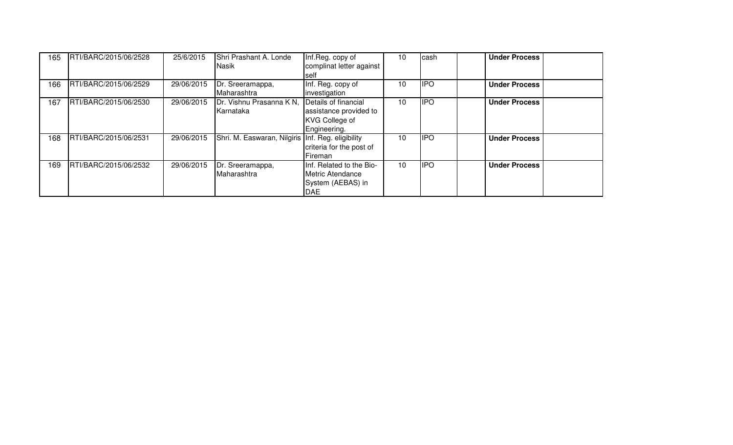| 165 | RTI/BARC/2015/06/2528 | 25/6/2015  | Shri Prashant A. Londe<br>Nasik                     | Inf.Reg. copy of<br>complinat letter against<br>self                                    | 10              | cash       | <b>Under Process</b> |
|-----|-----------------------|------------|-----------------------------------------------------|-----------------------------------------------------------------------------------------|-----------------|------------|----------------------|
| 166 | RTI/BARC/2015/06/2529 | 29/06/2015 | Dr. Sreeramappa,<br>Maharashtra                     | Inf. Reg. copy of<br>investigation                                                      | 10              | <b>IPO</b> | <b>Under Process</b> |
| 167 | RTI/BARC/2015/06/2530 | 29/06/2015 | Dr. Vishnu Prasanna K N,<br>Karnataka               | Details of financial<br>assistance provided to<br><b>KVG College of</b><br>Engineering. | 10 <sup>1</sup> | <b>IPO</b> | <b>Under Process</b> |
| 168 | RTI/BARC/2015/06/2531 | 29/06/2015 | Shri. M. Easwaran, Nilgiris   Inf. Reg. eligibility | criteria for the post of<br><b>IFireman</b>                                             | 10              | <b>IPO</b> | <b>Under Process</b> |
| 169 | RTI/BARC/2015/06/2532 | 29/06/2015 | Dr. Sreeramappa,<br>Maharashtra                     | Inf. Related to the Bio-<br>Metric Atendance<br>System (AEBAS) in<br><b>DAE</b>         | 10              | <b>IPO</b> | <b>Under Process</b> |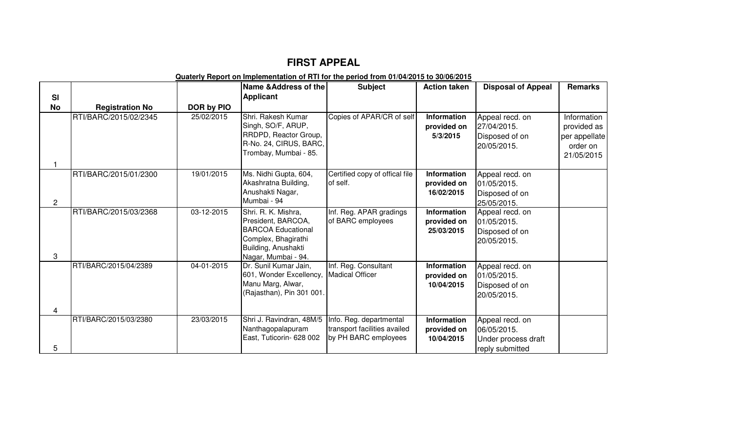## **FIRST APPEAL**

## **Quaterly Report on Implementation of RTI for the period from 01/04/2015 to 30/06/2015**

|                 |                        |            | Name & Address of the                                                                                                                       | <b>Subject</b>                                                                  | <b>Action taken</b>                             | <b>Disposal of Appeal</b>                                                | Remarks                                                               |
|-----------------|------------------------|------------|---------------------------------------------------------------------------------------------------------------------------------------------|---------------------------------------------------------------------------------|-------------------------------------------------|--------------------------------------------------------------------------|-----------------------------------------------------------------------|
| SI<br><b>No</b> | <b>Registration No</b> | DOR by PIO | <b>Applicant</b>                                                                                                                            |                                                                                 |                                                 |                                                                          |                                                                       |
|                 | RTI/BARC/2015/02/2345  | 25/02/2015 | Shri. Rakesh Kumar<br>Singh, SO/F, ARUP,<br>RRDPD, Reactor Group,<br>R-No. 24, CIRUS, BARC,<br>Trombay, Mumbai - 85.                        | Copies of APAR/CR of self                                                       | Information<br>provided on<br>5/3/2015          | Appeal recd. on<br>27/04/2015.<br>Disposed of on<br>20/05/2015.          | Information<br>provided as<br>per appellate<br>order on<br>21/05/2015 |
| $\overline{2}$  | RTI/BARC/2015/01/2300  | 19/01/2015 | Ms. Nidhi Gupta, 604,<br>Akashratna Building,<br>Anushakti Nagar,<br>Mumbai - 94                                                            | Certified copy of offical file<br>of self.                                      | <b>Information</b><br>provided on<br>16/02/2015 | Appeal recd. on<br>01/05/2015.<br>Disposed of on<br>25/05/2015.          |                                                                       |
| 3               | RTI/BARC/2015/03/2368  | 03-12-2015 | Shri. R. K. Mishra,<br>President, BARCOA,<br><b>BARCOA Educational</b><br>Complex, Bhagirathi<br>Building, Anushakti<br>Nagar, Mumbai - 94. | Inf. Reg. APAR gradings<br>of BARC employees                                    | <b>Information</b><br>provided on<br>25/03/2015 | Appeal recd. on<br>01/05/2015.<br>Disposed of on<br>20/05/2015.          |                                                                       |
| 4               | RTI/BARC/2015/04/2389  | 04-01-2015 | Dr. Sunil Kumar Jain,<br>601, Wonder Excellency,<br>Manu Marg, Alwar,<br>(Rajasthan), Pin 301 001.                                          | Inf. Reg. Consultant<br><b>Madical Officer</b>                                  | <b>Information</b><br>provided on<br>10/04/2015 | Appeal recd. on<br>01/05/2015.<br>Disposed of on<br>20/05/2015.          |                                                                       |
| 5               | RTI/BARC/2015/03/2380  | 23/03/2015 | Shri J. Ravindran, 48M/5<br>Nanthagopalapuram<br>East, Tuticorin- 628 002                                                                   | Info. Reg. departmental<br>transport facilities availed<br>by PH BARC employees | Information<br>provided on<br>10/04/2015        | Appeal recd. on<br>06/05/2015.<br>Under process draft<br>reply submitted |                                                                       |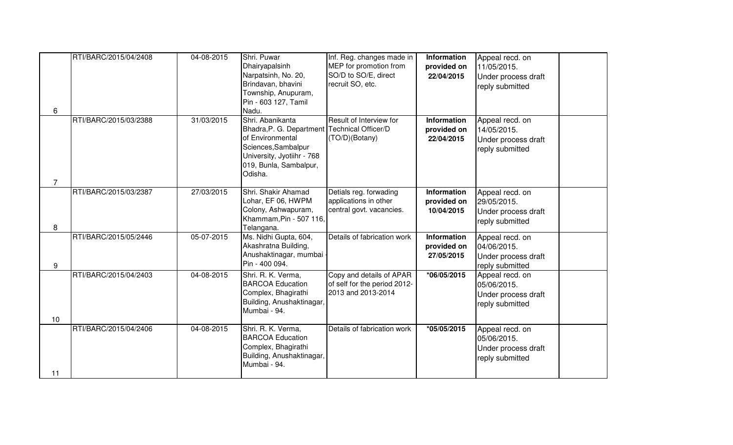| 6              | RTI/BARC/2015/04/2408 | 04-08-2015 | Shri. Puwar<br>Dhairyapalsinh<br>Narpatsinh, No. 20,<br>Brindavan, bhavini<br>Township, Anupuram,<br>Pin - 603 127, Tamil<br>Nadu.                                               | Inf. Reg. changes made in<br>MEP for promotion from<br>SO/D to SO/E, direct<br>recruit SO, etc. | Information<br>provided on<br>22/04/2015        | Appeal recd. on<br>11/05/2015.<br>Under process draft<br>reply submitted |  |
|----------------|-----------------------|------------|----------------------------------------------------------------------------------------------------------------------------------------------------------------------------------|-------------------------------------------------------------------------------------------------|-------------------------------------------------|--------------------------------------------------------------------------|--|
| $\overline{7}$ | RTI/BARC/2015/03/2388 | 31/03/2015 | Shri. Abanikanta<br>Bhadra, P. G. Department   Technical Officer/D<br>of Environmental<br>Sciences, Sambalpur<br>University, Jyotiihr - 768<br>019, Bunla, Sambalpur,<br>Odisha. | Result of Interview for<br>(TO/D)(Botany)                                                       | Information<br>provided on<br>22/04/2015        | Appeal recd. on<br>14/05/2015.<br>Under process draft<br>reply submitted |  |
| 8              | RTI/BARC/2015/03/2387 | 27/03/2015 | Shri. Shakir Ahamad<br>Lohar, EF 06, HWPM<br>Colony, Ashwapuram,<br>Khammam, Pin - 507 116,<br>Telangana.                                                                        | Detials reg. forwading<br>applications in other<br>central govt. vacancies.                     | Information<br>provided on<br>10/04/2015        | Appeal recd. on<br>29/05/2015.<br>Under process draft<br>reply submitted |  |
| 9              | RTI/BARC/2015/05/2446 | 05-07-2015 | Ms. Nidhi Gupta, 604,<br>Akashratna Building,<br>Anushaktinagar, mumbai -<br>Pin - 400 094.                                                                                      | Details of fabrication work                                                                     | <b>Information</b><br>provided on<br>27/05/2015 | Appeal recd. on<br>04/06/2015.<br>Under process draft<br>reply submitted |  |
| 10             | RTI/BARC/2015/04/2403 | 04-08-2015 | Shri. R. K. Verma,<br><b>BARCOA Education</b><br>Complex, Bhagirathi<br>Building, Anushaktinagar,<br>Mumbai - 94.                                                                | Copy and details of APAR<br>of self for the period 2012-<br>2013 and 2013-2014                  | $*06/05/2015$                                   | Appeal recd. on<br>05/06/2015.<br>Under process draft<br>reply submitted |  |
| 11             | RTI/BARC/2015/04/2406 | 04-08-2015 | Shri. R. K. Verma,<br><b>BARCOA Education</b><br>Complex, Bhagirathi<br>Building, Anushaktinagar,<br>Mumbai - 94.                                                                | Details of fabrication work                                                                     | *05/05/2015                                     | Appeal recd. on<br>05/06/2015.<br>Under process draft<br>reply submitted |  |